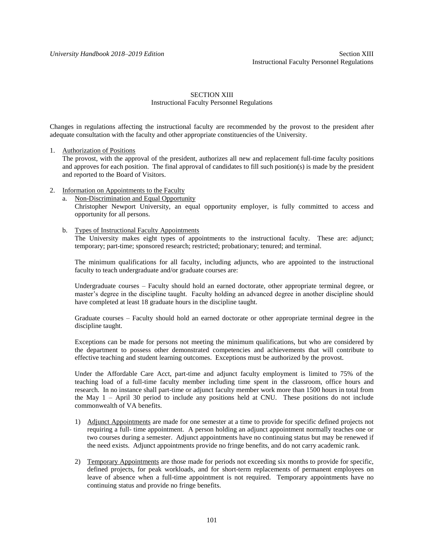# SECTION XIII Instructional Faculty Personnel Regulations

Changes in regulations affecting the instructional faculty are recommended by the provost to the president after adequate consultation with the faculty and other appropriate constituencies of the University.

1. Authorization of Positions

The provost, with the approval of the president, authorizes all new and replacement full-time faculty positions and approves for each position. The final approval of candidates to fill such position(s) is made by the president and reported to the Board of Visitors.

- 2. Information on Appointments to the Faculty
	- a. Non-Discrimination and Equal Opportunity Christopher Newport University, an equal opportunity employer, is fully committed to access and opportunity for all persons.
	- b. Types of Instructional Faculty Appointments

The University makes eight types of appointments to the instructional faculty. These are: adjunct; temporary; part-time; sponsored research; restricted; probationary; tenured; and terminal.

The minimum qualifications for all faculty, including adjuncts, who are appointed to the instructional faculty to teach undergraduate and/or graduate courses are:

Undergraduate courses – Faculty should hold an earned doctorate, other appropriate terminal degree, or master's degree in the discipline taught. Faculty holding an advanced degree in another discipline should have completed at least 18 graduate hours in the discipline taught.

Graduate courses – Faculty should hold an earned doctorate or other appropriate terminal degree in the discipline taught.

Exceptions can be made for persons not meeting the minimum qualifications, but who are considered by the department to possess other demonstrated competencies and achievements that will contribute to effective teaching and student learning outcomes. Exceptions must be authorized by the provost.

Under the Affordable Care Acct, part-time and adjunct faculty employment is limited to 75% of the teaching load of a full-time faculty member including time spent in the classroom, office hours and research. In no instance shall part-time or adjunct faculty member work more than 1500 hours in total from the May 1 – April 30 period to include any positions held at CNU. These positions do not include commonwealth of VA benefits.

- 1) Adjunct Appointments are made for one semester at a time to provide for specific defined projects not requiring a full- time appointment. A person holding an adjunct appointment normally teaches one or two courses during a semester. Adjunct appointments have no continuing status but may be renewed if the need exists. Adjunct appointments provide no fringe benefits, and do not carry academic rank.
- 2) Temporary Appointments are those made for periods not exceeding six months to provide for specific, defined projects, for peak workloads, and for short-term replacements of permanent employees on leave of absence when a full-time appointment is not required. Temporary appointments have no continuing status and provide no fringe benefits.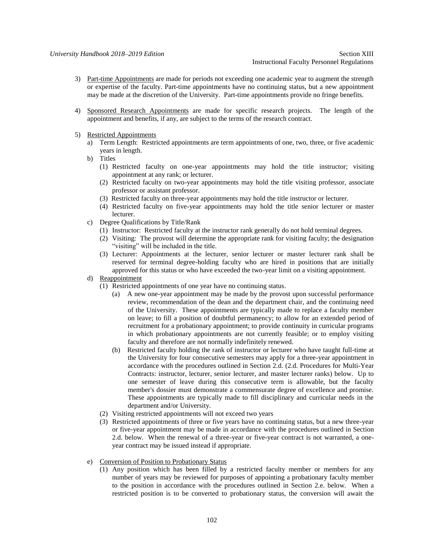- 3) Part-time Appointments are made for periods not exceeding one academic year to augment the strength or expertise of the faculty. Part-time appointments have no continuing status, but a new appointment may be made at the discretion of the University. Part-time appointments provide no fringe benefits.
- 4) Sponsored Research Appointments are made for specific research projects. The length of the appointment and benefits, if any, are subject to the terms of the research contract.
- 5) Restricted Appointments
	- a) Term Length: Restricted appointments are term appointments of one, two, three, or five academic years in length.
	- b) Titles
		- (1) Restricted faculty on one-year appointments may hold the title instructor; visiting appointment at any rank; or lecturer.
		- (2) Restricted faculty on two-year appointments may hold the title visiting professor, associate professor or assistant professor.
		- (3) Restricted faculty on three-year appointments may hold the title instructor or lecturer.
		- (4) Restricted faculty on five-year appointments may hold the title senior lecturer or master lecturer.
	- c) Degree Qualifications by Title/Rank
		- (1) Instructor: Restricted faculty at the instructor rank generally do not hold terminal degrees.
		- (2) Visiting: The provost will determine the appropriate rank for visiting faculty; the designation "visiting" will be included in the title.
		- (3) Lecturer: Appointments at the lecturer, senior lecturer or master lecturer rank shall be reserved for terminal degree-holding faculty who are hired in positions that are initially approved for this status or who have exceeded the two-year limit on a visiting appointment.
	- d) Reappointment
		- (1) Restricted appointments of one year have no continuing status.
			- (a) A new one-year appointment may be made by the provost upon successful performance review, recommendation of the dean and the department chair, and the continuing need of the University. These appointments are typically made to replace a faculty member on leave; to fill a position of doubtful permanency; to allow for an extended period of recruitment for a probationary appointment; to provide continuity in curricular programs in which probationary appointments are not currently feasible; or to employ visiting faculty and therefore are not normally indefinitely renewed.
			- (b) Restricted faculty holding the rank of instructor or lecturer who have taught full-time at the University for four consecutive semesters may apply for a three-year appointment in accordance with the procedures outlined in Section 2.d. (2.d. Procedures for Multi-Year Contracts: instructor, lecturer, senior lecturer, and master lecturer ranks) below. Up to one semester of leave during this consecutive term is allowable, but the faculty member's dossier must demonstrate a commensurate degree of excellence and promise. These appointments are typically made to fill disciplinary and curricular needs in the department and/or University.
		- (2) Visiting restricted appointments will not exceed two years
		- (3) Restricted appointments of three or five years have no continuing status, but a new three-year or five-year appointment may be made in accordance with the procedures outlined in Section 2.d. below. When the renewal of a three-year or five-year contract is not warranted, a oneyear contract may be issued instead if appropriate.
	- e) Conversion of Position to Probationary Status
		- (1) Any position which has been filled by a restricted faculty member or members for any number of years may be reviewed for purposes of appointing a probationary faculty member to the position in accordance with the procedures outlined in Section 2.e. below. When a restricted position is to be converted to probationary status, the conversion will await the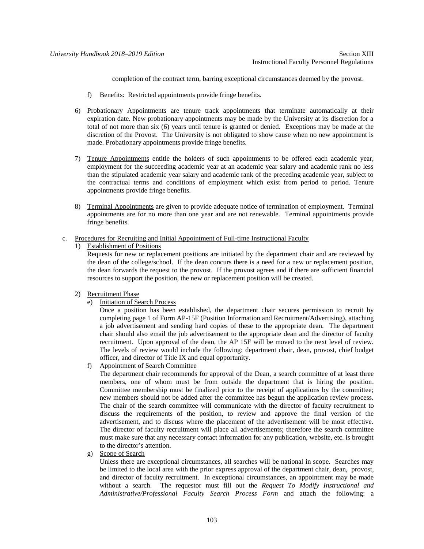completion of the contract term, barring exceptional circumstances deemed by the provost.

- f) Benefits: Restricted appointments provide fringe benefits.
- 6) Probationary Appointments are tenure track appointments that terminate automatically at their expiration date. New probationary appointments may be made by the University at its discretion for a total of not more than six (6) years until tenure is granted or denied. Exceptions may be made at the discretion of the Provost. The University is not obligated to show cause when no new appointment is made. Probationary appointments provide fringe benefits.
- 7) Tenure Appointments entitle the holders of such appointments to be offered each academic year, employment for the succeeding academic year at an academic year salary and academic rank no less than the stipulated academic year salary and academic rank of the preceding academic year, subject to the contractual terms and conditions of employment which exist from period to period. Tenure appointments provide fringe benefits.
- 8) Terminal Appointments are given to provide adequate notice of termination of employment. Terminal appointments are for no more than one year and are not renewable. Terminal appointments provide fringe benefits.
- c. Procedures for Recruiting and Initial Appointment of Full-time Instructional Faculty

1) Establishment of Positions

Requests for new or replacement positions are initiated by the department chair and are reviewed by the dean of the college/school. If the dean concurs there is a need for a new or replacement position, the dean forwards the request to the provost. If the provost agrees and if there are sufficient financial resources to support the position, the new or replacement position will be created.

# 2) Recruitment Phase

e) Initiation of Search Process

Once a position has been established, the department chair secures permission to recruit by completing page 1 of Form AP-15F (Position Information and Recruitment/Advertising), attaching a job advertisement and sending hard copies of these to the appropriate dean. The department chair should also email the job advertisement to the appropriate dean and the director of faculty recruitment. Upon approval of the dean, the AP 15F will be moved to the next level of review. The levels of review would include the following: department chair, dean, provost, chief budget officer, and director of Title IX and equal opportunity.

f) Appointment of Search Committee

The department chair recommends for approval of the Dean, a search committee of at least three members, one of whom must be from outside the department that is hiring the position. Committee membership must be finalized prior to the receipt of applications by the committee; new members should not be added after the committee has begun the application review process. The chair of the search committee will communicate with the director of faculty recruitment to discuss the requirements of the position, to review and approve the final version of the advertisement, and to discuss where the placement of the advertisement will be most effective. The director of faculty recruitment will place all advertisements; therefore the search committee must make sure that any necessary contact information for any publication, website, etc. is brought to the director's attention.

g) Scope of Search

Unless there are exceptional circumstances, all searches will be national in scope. Searches may be limited to the local area with the prior express approval of the department chair, dean, provost, and director of faculty recruitment. In exceptional circumstances, an appointment may be made without a search. The requestor must fill out the *Request To Modify Instructional and Administrative/Professional Faculty Search Process Form* and attach the following: a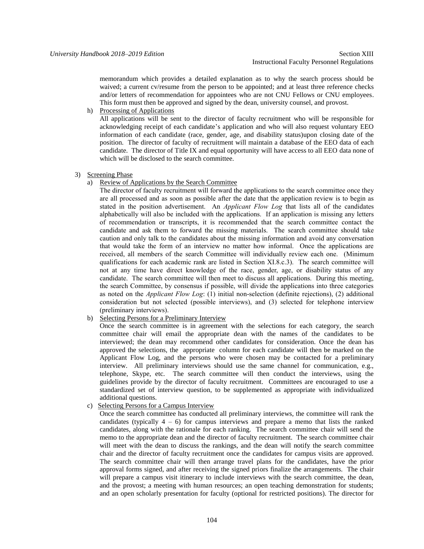memorandum which provides a detailed explanation as to why the search process should be waived; a current cv/resume from the person to be appointed; and at least three reference checks and/or letters of recommendation for appointees who are not CNU Fellows or CNU employees. This form must then be approved and signed by the dean, university counsel, and provost.

h) Processing of Applications

All applications will be sent to the director of faculty recruitment who will be responsible for acknowledging receipt of each candidate's application and who will also request voluntary EEO information of each candidate (race, gender, age, and disability status)upon closing date of the position. The director of faculty of recruitment will maintain a database of the EEO data of each candidate. The director of Title IX and equal opportunity will have access to all EEO data none of which will be disclosed to the search committee.

- 3) Screening Phase
	- a) Review of Applications by the Search Committee

The director of faculty recruitment will forward the applications to the search committee once they are all processed and as soon as possible after the date that the application review is to begin as stated in the position advertisement. An *Applicant Flow Log* that lists all of the candidates alphabetically will also be included with the applications. If an application is missing any letters of recommendation or transcripts, it is recommended that the search committee contact the candidate and ask them to forward the missing materials. The search committee should take caution and only talk to the candidates about the missing information and avoid any conversation that would take the form of an interview no matter how informal. Once the applications are received, all members of the search Committee will individually review each one. (Minimum qualifications for each academic rank are listed in Section XI.8.c.3). The search committee will not at any time have direct knowledge of the race, gender, age, or disability status of any candidate. The search committee will then meet to discuss all applications. During this meeting, the search Committee, by consensus if possible, will divide the applications into three categories as noted on the *Applicant Flow Log*: (1) initial non-selection (definite rejections), (2) additional consideration but not selected (possible interviews), and (3) selected for telephone interview (preliminary interviews).

b) Selecting Persons for a Preliminary Interview

Once the search committee is in agreement with the selections for each category, the search committee chair will email the appropriate dean with the names of the candidates to be interviewed; the dean may recommend other candidates for consideration. Once the dean has approved the selections, the appropriate column for each candidate will then be marked on the Applicant Flow Log, and the persons who were chosen may be contacted for a preliminary interview. All preliminary interviews should use the same channel for communication, e.g., telephone, Skype, etc. The search committee will then conduct the interviews, using the guidelines provide by the director of faculty recruitment. Committees are encouraged to use a standardized set of interview question, to be supplemented as appropriate with individualized additional questions.

c) Selecting Persons for a Campus Interview

Once the search committee has conducted all preliminary interviews, the committee will rank the candidates (typically  $4 - 6$ ) for campus interviews and prepare a memo that lists the ranked candidates, along with the rationale for each ranking. The search committee chair will send the memo to the appropriate dean and the director of faculty recruitment. The search committee chair will meet with the dean to discuss the rankings, and the dean will notify the search committee chair and the director of faculty recruitment once the candidates for campus visits are approved. The search committee chair will then arrange travel plans for the candidates, have the prior approval forms signed, and after receiving the signed priors finalize the arrangements. The chair will prepare a campus visit itinerary to include interviews with the search committee, the dean, and the provost; a meeting with human resources; an open teaching demonstration for students; and an open scholarly presentation for faculty (optional for restricted positions). The director for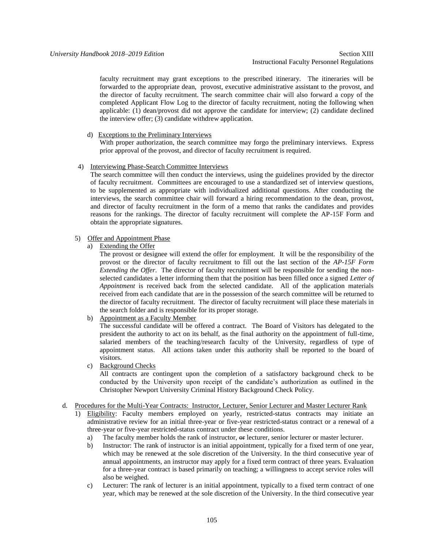faculty recruitment may grant exceptions to the prescribed itinerary. The itineraries will be forwarded to the appropriate dean, provost, executive administrative assistant to the provost, and the director of faculty recruitment. The search committee chair will also forward a copy of the completed Applicant Flow Log to the director of faculty recruitment, noting the following when applicable: (1) dean/provost did not approve the candidate for interview; (2) candidate declined the interview offer; (3) candidate withdrew application.

d) Exceptions to the Preliminary Interviews

With proper authorization, the search committee may forgo the preliminary interviews. Express prior approval of the provost, and director of faculty recruitment is required.

# 4) Interviewing Phase-Search Committee Interviews

The search committee will then conduct the interviews, using the guidelines provided by the director of faculty recruitment. Committees are encouraged to use a standardized set of interview questions, to be supplemented as appropriate with individualized additional questions. After conducting the interviews, the search committee chair will forward a hiring recommendation to the dean, provost, and director of faculty recruitment in the form of a memo that ranks the candidates and provides reasons for the rankings. The director of faculty recruitment will complete the AP-15F Form and obtain the appropriate signatures.

# 5) Offer and Appointment Phase

a) Extending the Offer

The provost or designee will extend the offer for employment. It will be the responsibility of the provost or the director of faculty recruitment to fill out the last section of the *AP-15F Form Extending the Offer*. The director of faculty recruitment will be responsible for sending the nonselected candidates a letter informing them that the position has been filled once a signed *Letter of Appointment* is received back from the selected candidate. All of the application materials received from each candidate that are in the possession of the search committee will be returned to the director of faculty recruitment. The director of faculty recruitment will place these materials in the search folder and is responsible for its proper storage.

b) Appointment as a Faculty Member

The successful candidate will be offered a contract. The Board of Visitors has delegated to the president the authority to act on its behalf, as the final authority on the appointment of full-time, salaried members of the teaching/research faculty of the University, regardless of type of appointment status. All actions taken under this authority shall be reported to the board of visitors.

c) Background Checks

All contracts are contingent upon the completion of a satisfactory background check to be conducted by the University upon receipt of the candidate's authorization as outlined in the Christopher Newport University Criminal History Background Check Policy.

# d. Procedures for the Multi-Year Contracts: Instructor, Lecturer, Senior Lecturer and Master Lecturer Rank

- 1) Eligibility: Faculty members employed on yearly, restricted-status contracts may initiate an administrative review for an initial three-year or five-year restricted-status contract or a renewal of a three-year or five-year restricted-status contract under these conditions.
	- a) The faculty member holds the rank of instructor,  $\Theta$  lecturer, senior lecturer or master lecturer.
	- b) Instructor: The rank of instructor is an initial appointment, typically for a fixed term of one year, which may be renewed at the sole discretion of the University. In the third consecutive year of annual appointments, an instructor may apply for a fixed term contract of three years. Evaluation for a three-year contract is based primarily on teaching; a willingness to accept service roles will also be weighed.
	- c) Lecturer: The rank of lecturer is an initial appointment, typically to a fixed term contract of one year, which may be renewed at the sole discretion of the University. In the third consecutive year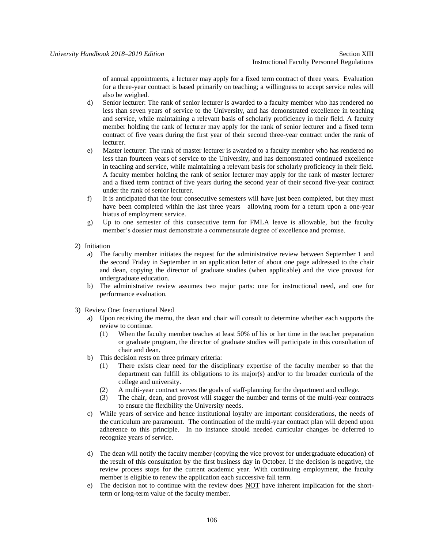of annual appointments, a lecturer may apply for a fixed term contract of three years. Evaluation for a three-year contract is based primarily on teaching; a willingness to accept service roles will also be weighed.

- d) Senior lecturer: The rank of senior lecturer is awarded to a faculty member who has rendered no less than seven years of service to the University, and has demonstrated excellence in teaching and service, while maintaining a relevant basis of scholarly proficiency in their field. A faculty member holding the rank of lecturer may apply for the rank of senior lecturer and a fixed term contract of five years during the first year of their second three-year contract under the rank of lecturer.
- e) Master lecturer: The rank of master lecturer is awarded to a faculty member who has rendered no less than fourteen years of service to the University, and has demonstrated continued excellence in teaching and service, while maintaining a relevant basis for scholarly proficiency in their field. A faculty member holding the rank of senior lecturer may apply for the rank of master lecturer and a fixed term contract of five years during the second year of their second five-year contract under the rank of senior lecturer.
- f) It is anticipated that the four consecutive semesters will have just been completed, but they must have been completed within the last three years—allowing room for a return upon a one-year hiatus of employment service.
- g) Up to one semester of this consecutive term for FMLA leave is allowable, but the faculty member's dossier must demonstrate a commensurate degree of excellence and promise.
- 2) Initiation
	- a) The faculty member initiates the request for the administrative review between September 1 and the second Friday in September in an application letter of about one page addressed to the chair and dean, copying the director of graduate studies (when applicable) and the vice provost for undergraduate education.
	- b) The administrative review assumes two major parts: one for instructional need, and one for performance evaluation.
- 3) Review One: Instructional Need
	- a) Upon receiving the memo, the dean and chair will consult to determine whether each supports the review to continue.
		- (1) When the faculty member teaches at least 50% of his or her time in the teacher preparation or graduate program, the director of graduate studies will participate in this consultation of chair and dean.
	- b) This decision rests on three primary criteria:
		- (1) There exists clear need for the disciplinary expertise of the faculty member so that the department can fulfill its obligations to its major(s) and/or to the broader curricula of the college and university.
		- (2) A multi-year contract serves the goals of staff-planning for the department and college.
		- (3) The chair, dean, and provost will stagger the number and terms of the multi-year contracts to ensure the flexibility the University needs.
	- c) While years of service and hence institutional loyalty are important considerations, the needs of the curriculum are paramount. The continuation of the multi-year contract plan will depend upon adherence to this principle. In no instance should needed curricular changes be deferred to recognize years of service.
	- d) The dean will notify the faculty member (copying the vice provost for undergraduate education) of the result of this consultation by the first business day in October. If the decision is negative, the review process stops for the current academic year. With continuing employment, the faculty member is eligible to renew the application each successive fall term.
	- e) The decision not to continue with the review does NOT have inherent implication for the shortterm or long-term value of the faculty member.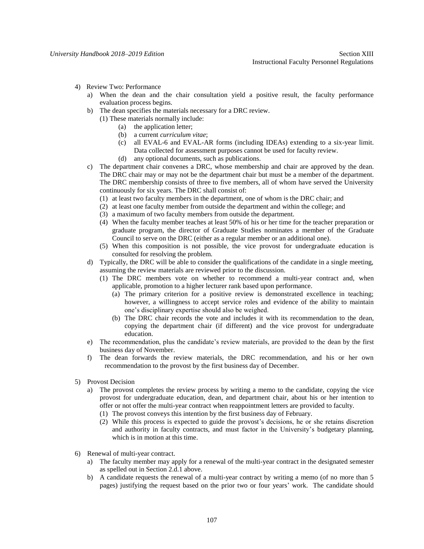- 4) Review Two: Performance
	- a) When the dean and the chair consultation yield a positive result, the faculty performance evaluation process begins.
	- b) The dean specifies the materials necessary for a DRC review.
		- (1) These materials normally include:
			- (a) the application letter;
			- (b) a current *curriculum vitae*;
			- (c) all EVAL-6 and EVAL-AR forms (including IDEAs) extending to a six-year limit. Data collected for assessment purposes cannot be used for faculty review.
			- (d) any optional documents, such as publications.
	- c) The department chair convenes a DRC, whose membership and chair are approved by the dean. The DRC chair may or may not be the department chair but must be a member of the department. The DRC membership consists of three to five members, all of whom have served the University continuously for six years. The DRC shall consist of:
		- (1) at least two faculty members in the department, one of whom is the DRC chair; and
		- (2) at least one faculty member from outside the department and within the college; and
		- (3) a maximum of two faculty members from outside the department.
		- (4) When the faculty member teaches at least 50% of his or her time for the teacher preparation or graduate program, the director of Graduate Studies nominates a member of the Graduate Council to serve on the DRC (either as a regular member or an additional one).
		- (5) When this composition is not possible, the vice provost for undergraduate education is consulted for resolving the problem.
	- d) Typically, the DRC will be able to consider the qualifications of the candidate in a single meeting, assuming the review materials are reviewed prior to the discussion.
		- (1) The DRC members vote on whether to recommend a multi-year contract and, when applicable, promotion to a higher lecturer rank based upon performance.
			- (a) The primary criterion for a positive review is demonstrated excellence in teaching; however, a willingness to accept service roles and evidence of the ability to maintain one's disciplinary expertise should also be weighed.
			- (b) The DRC chair records the vote and includes it with its recommendation to the dean, copying the department chair (if different) and the vice provost for undergraduate education.
	- e) The recommendation, plus the candidate's review materials, are provided to the dean by the first business day of November.
	- f) The dean forwards the review materials, the DRC recommendation, and his or her own recommendation to the provost by the first business day of December.
- 5) Provost Decision
	- a) The provost completes the review process by writing a memo to the candidate, copying the vice provost for undergraduate education, dean, and department chair, about his or her intention to offer or not offer the multi-year contract when reappointment letters are provided to faculty.
		- (1) The provost conveys this intention by the first business day of February.
		- (2) While this process is expected to guide the provost's decisions, he or she retains discretion and authority in faculty contracts, and must factor in the University's budgetary planning, which is in motion at this time.
- 6) Renewal of multi-year contract.
	- a) The faculty member may apply for a renewal of the multi-year contract in the designated semester as spelled out in Section 2.d.1 above.
	- b) A candidate requests the renewal of a multi-year contract by writing a memo (of no more than 5 pages) justifying the request based on the prior two or four years' work. The candidate should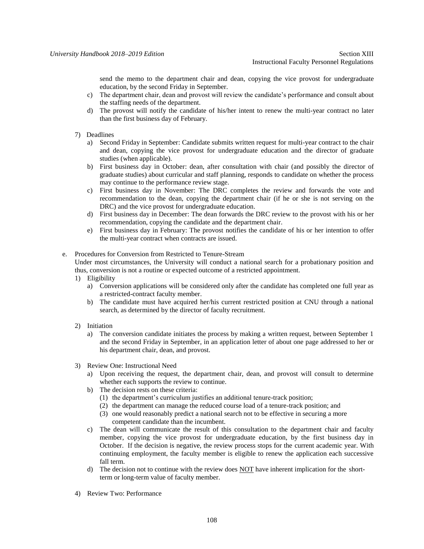send the memo to the department chair and dean, copying the vice provost for undergraduate education, by the second Friday in September.

- c) The department chair, dean and provost will review the candidate's performance and consult about the staffing needs of the department.
- d) The provost will notify the candidate of his/her intent to renew the multi-year contract no later than the first business day of February.
- 7) Deadlines
	- a) Second Friday in September: Candidate submits written request for multi-year contract to the chair and dean, copying the vice provost for undergraduate education and the director of graduate studies (when applicable).
	- b) First business day in October: dean, after consultation with chair (and possibly the director of graduate studies) about curricular and staff planning, responds to candidate on whether the process may continue to the performance review stage.
	- c) First business day in November: The DRC completes the review and forwards the vote and recommendation to the dean, copying the department chair (if he or she is not serving on the DRC) and the vice provost for undergraduate education.
	- d) First business day in December: The dean forwards the DRC review to the provost with his or her recommendation, copying the candidate and the department chair.
	- e) First business day in February: The provost notifies the candidate of his or her intention to offer the multi-year contract when contracts are issued.
- e. Procedures for Conversion from Restricted to Tenure-Stream

Under most circumstances, the University will conduct a national search for a probationary position and thus, conversion is not a routine or expected outcome of a restricted appointment.

- 1) Eligibility
	- a) Conversion applications will be considered only after the candidate has completed one full year as a restricted-contract faculty member.
	- b) The candidate must have acquired her/his current restricted position at CNU through a national search, as determined by the director of faculty recruitment.
- 2) Initiation
	- a) The conversion candidate initiates the process by making a written request, between September 1 and the second Friday in September, in an application letter of about one page addressed to her or his department chair, dean, and provost.
- 3) Review One: Instructional Need
	- a) Upon receiving the request, the department chair, dean, and provost will consult to determine whether each supports the review to continue.
	- b) The decision rests on these criteria:
		- (1) the department's curriculum justifies an additional tenure-track position;
		- (2) the department can manage the reduced course load of a tenure-track position; and
		- (3) one would reasonably predict a national search not to be effective in securing a more competent candidate than the incumbent.
	- c) The dean will communicate the result of this consultation to the department chair and faculty member, copying the vice provost for undergraduate education, by the first business day in October. If the decision is negative, the review process stops for the current academic year. With continuing employment, the faculty member is eligible to renew the application each successive fall term.
	- d) The decision not to continue with the review does NOT have inherent implication for the shortterm or long-term value of faculty member.
- 4) Review Two: Performance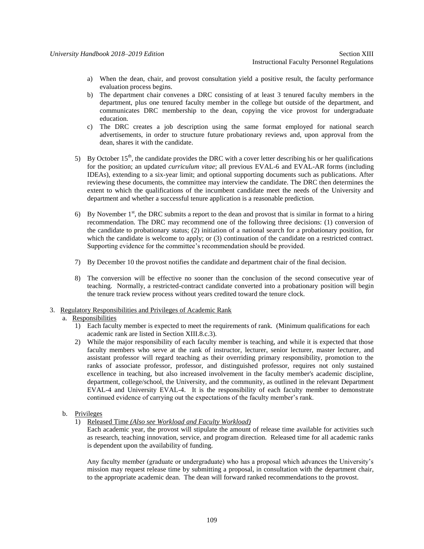- a) When the dean, chair, and provost consultation yield a positive result, the faculty performance evaluation process begins.
- b) The department chair convenes a DRC consisting of at least 3 tenured faculty members in the department, plus one tenured faculty member in the college but outside of the department, and communicates DRC membership to the dean, copying the vice provost for undergraduate education.
- c) The DRC creates a job description using the same format employed for national search advertisements, in order to structure future probationary reviews and, upon approval from the dean, shares it with the candidate.
- 5) By October  $15<sup>th</sup>$ , the candidate provides the DRC with a cover letter describing his or her qualifications for the position; an updated *curriculum vitae*; all previous EVAL-6 and EVAL-AR forms (including IDEAs), extending to a six-year limit; and optional supporting documents such as publications. After reviewing these documents, the committee may interview the candidate. The DRC then determines the extent to which the qualifications of the incumbent candidate meet the needs of the University and department and whether a successful tenure application is a reasonable prediction.
- 6) By November  $1<sup>st</sup>$ , the DRC submits a report to the dean and provost that is similar in format to a hiring recommendation. The DRC may recommend one of the following three decisions: (1) conversion of the candidate to probationary status; (2) initiation of a national search for a probationary position, for which the candidate is welcome to apply; or  $(3)$  continuation of the candidate on a restricted contract. Supporting evidence for the committee's recommendation should be provided.
- 7) By December 10 the provost notifies the candidate and department chair of the final decision.
- 8) The conversion will be effective no sooner than the conclusion of the second consecutive year of teaching. Normally, a restricted-contract candidate converted into a probationary position will begin the tenure track review process without years credited toward the tenure clock.
- 3. Regulatory Responsibilities and Privileges of Academic Rank

# a) a. Responsibilities

- 1) Each faculty member is expected to meet the requirements of rank. (Minimum qualifications for each academic rank are listed in Section XIII.8.c.3).
- 2) While the major responsibility of each faculty member is teaching, and while it is expected that those faculty members who serve at the rank of instructor, lecturer, senior lecturer, master lecturer, and assistant professor will regard teaching as their overriding primary responsibility, promotion to the ranks of associate professor, professor, and distinguished professor, requires not only sustained excellence in teaching, but also increased involvement in the faculty member's academic discipline, department, college/school, the University, and the community, as outlined in the relevant Department EVAL-4 and University EVAL-4. It is the responsibility of each faculty member to demonstrate continued evidence of carrying out the expectations of the faculty member's rank.
- b. Privileges
	- 1) Released Time *(Also see Workload and Faculty Workload)*

Each academic year, the provost will stipulate the amount of release time available for activities such as research, teaching innovation, service, and program direction. Released time for all academic ranks is dependent upon the availability of funding.

Any faculty member (graduate or undergraduate) who has a proposal which advances the University's mission may request release time by submitting a proposal, in consultation with the department chair, to the appropriate academic dean. The dean will forward ranked recommendations to the provost.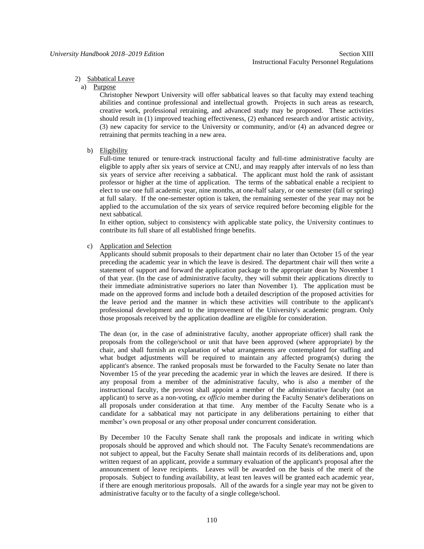#### 2) Sabbatical Leave

a) Purpose

Christopher Newport University will offer sabbatical leaves so that faculty may extend teaching abilities and continue professional and intellectual growth. Projects in such areas as research, creative work, professional retraining, and advanced study may be proposed. These activities should result in (1) improved teaching effectiveness, (2) enhanced research and/or artistic activity, (3) new capacity for service to the University or community, and/or (4) an advanced degree or retraining that permits teaching in a new area.

b) Eligibility

Full-time tenured or tenure-track instructional faculty and full-time administrative faculty are eligible to apply after six years of service at CNU, and may reapply after intervals of no less than six years of service after receiving a sabbatical. The applicant must hold the rank of assistant professor or higher at the time of application. The terms of the sabbatical enable a recipient to elect to use one full academic year, nine months, at one-half salary, or one semester (fall or spring) at full salary. If the one-semester option is taken, the remaining semester of the year may not be applied to the accumulation of the six years of service required before becoming eligible for the next sabbatical.

In either option, subject to consistency with applicable state policy, the University continues to contribute its full share of all established fringe benefits.

c) Application and Selection

Applicants should submit proposals to their department chair no later than October 15 of the year preceding the academic year in which the leave is desired. The department chair will then write a statement of support and forward the application package to the appropriate dean by November 1 of that year. (In the case of administrative faculty, they will submit their applications directly to their immediate administrative superiors no later than November 1). The application must be made on the approved forms and include both a detailed description of the proposed activities for the leave period and the manner in which these activities will contribute to the applicant's professional development and to the improvement of the University's academic program. Only those proposals received by the application deadline are eligible for consideration.

The dean (or, in the case of administrative faculty, another appropriate officer) shall rank the proposals from the college/school or unit that have been approved (where appropriate) by the chair, and shall furnish an explanation of what arrangements are contemplated for staffing and what budget adjustments will be required to maintain any affected program(s) during the applicant's absence. The ranked proposals must be forwarded to the Faculty Senate no later than November 15 of the year preceding the academic year in which the leaves are desired. If there is any proposal from a member of the administrative faculty, who is also a member of the instructional faculty, the provost shall appoint a member of the administrative faculty (not an applicant) to serve as a non-voting, *ex officio* member during the Faculty Senate's deliberations on all proposals under consideration at that time. Any member of the Faculty Senate who is a candidate for a sabbatical may not participate in any deliberations pertaining to either that member's own proposal or any other proposal under concurrent consideration.

By December 10 the Faculty Senate shall rank the proposals and indicate in writing which proposals should be approved and which should not. The Faculty Senate's recommendations are not subject to appeal, but the Faculty Senate shall maintain records of its deliberations and, upon written request of an applicant, provide a summary evaluation of the applicant's proposal after the announcement of leave recipients. Leaves will be awarded on the basis of the merit of the proposals. Subject to funding availability, at least ten leaves will be granted each academic year, if there are enough meritorious proposals. All of the awards for a single year may not be given to administrative faculty or to the faculty of a single college/school.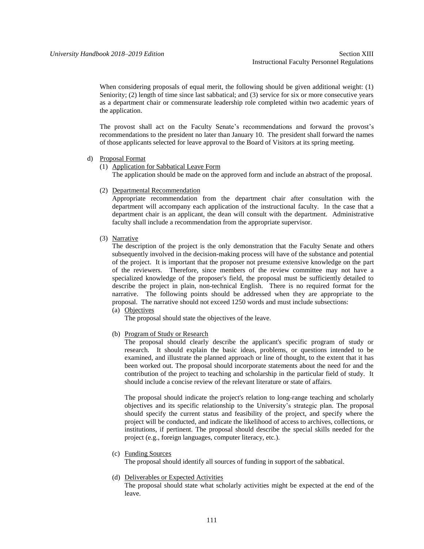When considering proposals of equal merit, the following should be given additional weight: (1) Seniority; (2) length of time since last sabbatical; and (3) service for six or more consecutive years as a department chair or commensurate leadership role completed within two academic years of the application.

The provost shall act on the Faculty Senate's recommendations and forward the provost's recommendations to the president no later than January 10. The president shall forward the names of those applicants selected for leave approval to the Board of Visitors at its spring meeting.

- d) Proposal Format
	- (1) Application for Sabbatical Leave Form

The application should be made on the approved form and include an abstract of the proposal.

(2) Departmental Recommendation

Appropriate recommendation from the department chair after consultation with the department will accompany each application of the instructional faculty. In the case that a department chair is an applicant, the dean will consult with the department. Administrative faculty shall include a recommendation from the appropriate supervisor.

(3) Narrative

The description of the project is the only demonstration that the Faculty Senate and others subsequently involved in the decision-making process will have of the substance and potential of the project. It is important that the proposer not presume extensive knowledge on the part of the reviewers. Therefore, since members of the review committee may not have a specialized knowledge of the proposer's field, the proposal must be sufficiently detailed to describe the project in plain, non-technical English. There is no required format for the narrative. The following points should be addressed when they are appropriate to the proposal. The narrative should not exceed 1250 words and must include subsections:

(a) Objectives

The proposal should state the objectives of the leave.

(b) Program of Study or Research

The proposal should clearly describe the applicant's specific program of study or research. It should explain the basic ideas, problems, or questions intended to be examined, and illustrate the planned approach or line of thought, to the extent that it has been worked out. The proposal should incorporate statements about the need for and the contribution of the project to teaching and scholarship in the particular field of study. It should include a concise review of the relevant literature or state of affairs.

The proposal should indicate the project's relation to long-range teaching and scholarly objectives and its specific relationship to the University's strategic plan. The proposal should specify the current status and feasibility of the project, and specify where the project will be conducted, and indicate the likelihood of access to archives, collections, or institutions, if pertinent. The proposal should describe the special skills needed for the project (e.g., foreign languages, computer literacy, etc.).

(c) Funding Sources

The proposal should identify all sources of funding in support of the sabbatical.

(d) Deliverables or Expected Activities

The proposal should state what scholarly activities might be expected at the end of the leave.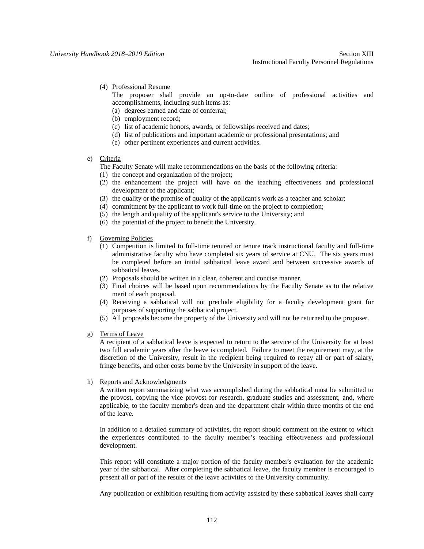(4) Professional Resume

The proposer shall provide an up-to-date outline of professional activities and accomplishments, including such items as:

- (a) degrees earned and date of conferral;
- (b) employment record;
- (c) list of academic honors, awards, or fellowships received and dates;
- (d) list of publications and important academic or professional presentations; and
- (e) other pertinent experiences and current activities.
- e) Criteria
	- The Faculty Senate will make recommendations on the basis of the following criteria:
	- (1) the concept and organization of the project;
	- (2) the enhancement the project will have on the teaching effectiveness and professional development of the applicant;
	- (3) the quality or the promise of quality of the applicant's work as a teacher and scholar;
	- (4) commitment by the applicant to work full-time on the project to completion;
	- (5) the length and quality of the applicant's service to the University; and
	- (6) the potential of the project to benefit the University.
- f) Governing Policies
	- (1) Competition is limited to full-time tenured or tenure track instructional faculty and full-time administrative faculty who have completed six years of service at CNU. The six years must be completed before an initial sabbatical leave award and between successive awards of sabbatical leaves.
	- (2) Proposals should be written in a clear, coherent and concise manner.
	- (3) Final choices will be based upon recommendations by the Faculty Senate as to the relative merit of each proposal.
	- (4) Receiving a sabbatical will not preclude eligibility for a faculty development grant for purposes of supporting the sabbatical project.
	- (5) All proposals become the property of the University and will not be returned to the proposer.
- g) Terms of Leave

A recipient of a sabbatical leave is expected to return to the service of the University for at least two full academic years after the leave is completed. Failure to meet the requirement may, at the discretion of the University, result in the recipient being required to repay all or part of salary, fringe benefits, and other costs borne by the University in support of the leave.

h) Reports and Acknowledgments

A written report summarizing what was accomplished during the sabbatical must be submitted to the provost, copying the vice provost for research, graduate studies and assessment, and, where applicable, to the faculty member's dean and the department chair within three months of the end of the leave.

In addition to a detailed summary of activities, the report should comment on the extent to which the experiences contributed to the faculty member's teaching effectiveness and professional development.

This report will constitute a major portion of the faculty member's evaluation for the academic year of the sabbatical. After completing the sabbatical leave, the faculty member is encouraged to present all or part of the results of the leave activities to the University community.

Any publication or exhibition resulting from activity assisted by these sabbatical leaves shall carry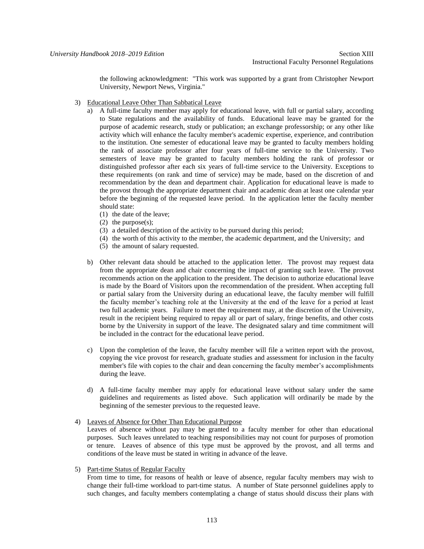the following acknowledgment: "This work was supported by a grant from Christopher Newport University, Newport News, Virginia."

- 3) Educational Leave Other Than Sabbatical Leave
	- a) A full-time faculty member may apply for educational leave, with full or partial salary, according to State regulations and the availability of funds. Educational leave may be granted for the purpose of academic research, study or publication; an exchange professorship; or any other like activity which will enhance the faculty member's academic expertise, experience, and contribution to the institution. One semester of educational leave may be granted to faculty members holding the rank of associate professor after four years of full-time service to the University. Two semesters of leave may be granted to faculty members holding the rank of professor or distinguished professor after each six years of full-time service to the University. Exceptions to these requirements (on rank and time of service) may be made, based on the discretion of and recommendation by the dean and department chair. Application for educational leave is made to the provost through the appropriate department chair and academic dean at least one calendar year before the beginning of the requested leave period. In the application letter the faculty member should state:
		- (1) the date of the leave;
		- (2) the purpose(s);
		- (3) a detailed description of the activity to be pursued during this period;
		- (4) the worth of this activity to the member, the academic department, and the University; and
		- (5) the amount of salary requested.
	- b) Other relevant data should be attached to the application letter. The provost may request data from the appropriate dean and chair concerning the impact of granting such leave. The provost recommends action on the application to the president. The decision to authorize educational leave is made by the Board of Visitors upon the recommendation of the president. When accepting full or partial salary from the University during an educational leave, the faculty member will fulfill the faculty member's teaching role at the University at the end of the leave for a period at least two full academic years. Failure to meet the requirement may, at the discretion of the University, result in the recipient being required to repay all or part of salary, fringe benefits, and other costs borne by the University in support of the leave. The designated salary and time commitment will be included in the contract for the educational leave period.
	- c) Upon the completion of the leave, the faculty member will file a written report with the provost, copying the vice provost for research, graduate studies and assessment for inclusion in the faculty member's file with copies to the chair and dean concerning the faculty member's accomplishments during the leave.
	- d) A full-time faculty member may apply for educational leave without salary under the same guidelines and requirements as listed above. Such application will ordinarily be made by the beginning of the semester previous to the requested leave.

# 4) Leaves of Absence for Other Than Educational Purpose

Leaves of absence without pay may be granted to a faculty member for other than educational purposes. Such leaves unrelated to teaching responsibilities may not count for purposes of promotion or tenure. Leaves of absence of this type must be approved by the provost, and all terms and conditions of the leave must be stated in writing in advance of the leave.

# 5) Part-time Status of Regular Faculty

From time to time, for reasons of health or leave of absence, regular faculty members may wish to change their full-time workload to part-time status. A number of State personnel guidelines apply to such changes, and faculty members contemplating a change of status should discuss their plans with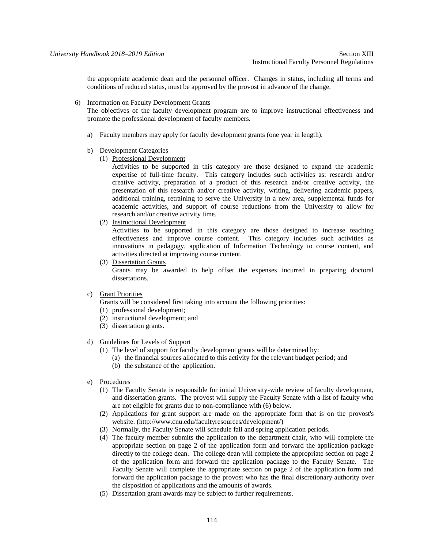the appropriate academic dean and the personnel officer. Changes in status, including all terms and conditions of reduced status, must be approved by the provost in advance of the change.

# 6) Information on Faculty Development Grants

The objectives of the faculty development program are to improve instructional effectiveness and promote the professional development of faculty members.

a) Faculty members may apply for faculty development grants (one year in length).

## b) Development Categories

(1) Professional Development

Activities to be supported in this category are those designed to expand the academic expertise of full-time faculty. This category includes such activities as: research and/or creative activity, preparation of a product of this research and/or creative activity, the presentation of this research and/or creative activity, writing, delivering academic papers, additional training, retraining to serve the University in a new area, supplemental funds for academic activities, and support of course reductions from the University to allow for research and/or creative activity time.

(2) Instructional Development

Activities to be supported in this category are those designed to increase teaching effectiveness and improve course content. This category includes such activities as innovations in pedagogy, application of Information Technology to course content, and activities directed at improving course content.

(3) Dissertation Grants

Grants may be awarded to help offset the expenses incurred in preparing doctoral dissertations.

c) Grant Priorities

Grants will be considered first taking into account the following priorities:

- (1) professional development;
- (2) instructional development; and
- (3) dissertation grants.
- d) Guidelines for Levels of Support
	- (1) The level of support for faculty development grants will be determined by:
		- (a) the financial sources allocated to this activity for the relevant budget period; and
		- (b) the substance of the application.
- e) Procedures
	- (1) The Faculty Senate is responsible for initial University-wide review of faculty development, and dissertation grants. The provost will supply the Faculty Senate with a list of faculty who are not eligible for grants due to non-compliance with (6) below.
	- (2) Applications for grant support are made on the appropriate form that is on the provost's website. (http://www.cnu.edu/facultyresources/development/)
	- (3) Normally, the Faculty Senate will schedule fall and spring application periods.
	- (4) The faculty member submits the application to the department chair, who will complete the appropriate section on page 2 of the application form and forward the application package directly to the college dean. The college dean will complete the appropriate section on page 2 of the application form and forward the application package to the Faculty Senate. The Faculty Senate will complete the appropriate section on page 2 of the application form and forward the application package to the provost who has the final discretionary authority over the disposition of applications and the amounts of awards.
	- (5) Dissertation grant awards may be subject to further requirements.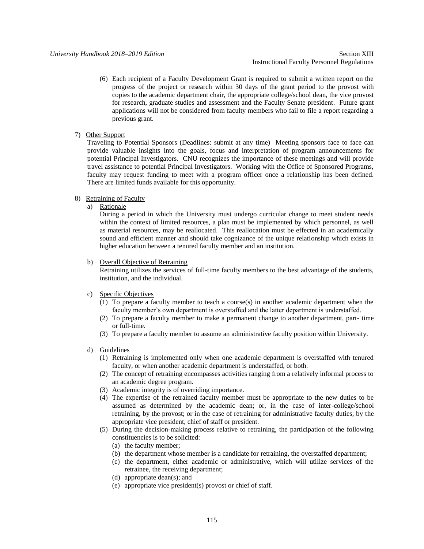- (6) Each recipient of a Faculty Development Grant is required to submit a written report on the progress of the project or research within 30 days of the grant period to the provost with copies to the academic department chair, the appropriate college/school dean, the vice provost for research, graduate studies and assessment and the Faculty Senate president. Future grant applications will not be considered from faculty members who fail to file a report regarding a previous grant.
- 7) Other Support

Traveling to Potential Sponsors (Deadlines: submit at any time) Meeting sponsors face to face can provide valuable insights into the goals, focus and interpretation of program announcements for potential Principal Investigators. CNU recognizes the importance of these meetings and will provide travel assistance to potential Principal Investigators. Working with the Office of Sponsored Programs, faculty may request funding to meet with a program officer once a relationship has been defined. There are limited funds available for this opportunity.

# 8) Retraining of Faculty

a) Rationale

During a period in which the University must undergo curricular change to meet student needs within the context of limited resources, a plan must be implemented by which personnel, as well as material resources, may be reallocated. This reallocation must be effected in an academically sound and efficient manner and should take cognizance of the unique relationship which exists in higher education between a tenured faculty member and an institution.

# b) Overall Objective of Retraining

Retraining utilizes the services of full-time faculty members to the best advantage of the students, institution, and the individual.

# c) Specific Objectives

- (1) To prepare a faculty member to teach a course(s) in another academic department when the faculty member's own department is overstaffed and the latter department is understaffed.
- (2) To prepare a faculty member to make a permanent change to another department, part- time or full-time.
- (3) To prepare a faculty member to assume an administrative faculty position within University.
- d) Guidelines
	- (1) Retraining is implemented only when one academic department is overstaffed with tenured faculty, or when another academic department is understaffed, or both.
	- (2) The concept of retraining encompasses activities ranging from a relatively informal process to an academic degree program.
	- (3) Academic integrity is of overriding importance.
	- (4) The expertise of the retrained faculty member must be appropriate to the new duties to be assumed as determined by the academic dean; or, in the case of inter-college/school retraining, by the provost; or in the case of retraining for administrative faculty duties, by the appropriate vice president, chief of staff or president.
	- (5) During the decision-making process relative to retraining, the participation of the following constituencies is to be solicited:
		- (a) the faculty member;
		- (b) the department whose member is a candidate for retraining, the overstaffed department;
		- (c) the department, either academic or administrative, which will utilize services of the retrainee, the receiving department;
		- (d) appropriate dean(s); and
		- (e) appropriate vice president(s) provost or chief of staff.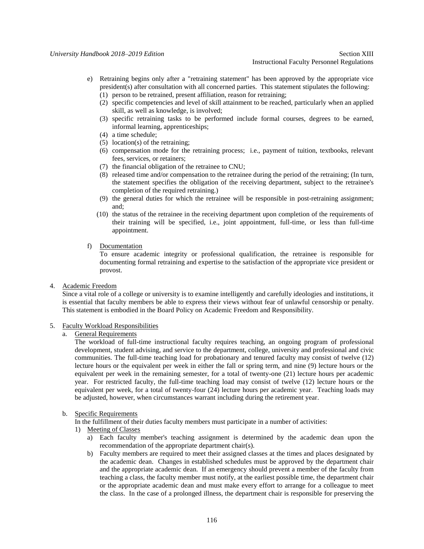- e) Retraining begins only after a "retraining statement" has been approved by the appropriate vice president(s) after consultation with all concerned parties. This statement stipulates the following:
	- (1) person to be retrained, present affiliation, reason for retraining;
	- (2) specific competencies and level of skill attainment to be reached, particularly when an applied skill, as well as knowledge, is involved;
	- (3) specific retraining tasks to be performed include formal courses, degrees to be earned, informal learning, apprenticeships;
	- (4) a time schedule;
	- (5) location(s) of the retraining;
	- (6) compensation mode for the retraining process; i.e., payment of tuition, textbooks, relevant fees, services, or retainers;
	- (7) the financial obligation of the retrainee to CNU;
	- (8) released time and/or compensation to the retrainee during the period of the retraining; (In turn, the statement specifies the obligation of the receiving department, subject to the retrainee's completion of the required retraining.)
	- (9) the general duties for which the retrainee will be responsible in post-retraining assignment; and;
	- (10) the status of the retrainee in the receiving department upon completion of the requirements of their training will be specified, i.e., joint appointment, full-time, or less than full-time appointment.
- f) Documentation

To ensure academic integrity or professional qualification, the retrainee is responsible for documenting formal retraining and expertise to the satisfaction of the appropriate vice president or provost.

4. Academic Freedom

Since a vital role of a college or university is to examine intelligently and carefully ideologies and institutions, it is essential that faculty members be able to express their views without fear of unlawful censorship or penalty. This statement is embodied in the Board Policy on Academic Freedom and Responsibility.

# 5. Faculty Workload Responsibilities

a. General Requirements

The workload of full-time instructional faculty requires teaching, an ongoing program of professional development, student advising, and service to the department, college, university and professional and civic communities. The full-time teaching load for probationary and tenured faculty may consist of twelve (12) lecture hours or the equivalent per week in either the fall or spring term, and nine (9) lecture hours or the equivalent per week in the remaining semester, for a total of twenty-one (21) lecture hours per academic year. For restricted faculty, the full-time teaching load may consist of twelve (12) lecture hours or the equivalent per week, for a total of twenty-four (24) lecture hours per academic year. Teaching loads may be adjusted, however, when circumstances warrant including during the retirement year.

# b. Specific Requirements

In the fulfillment of their duties faculty members must participate in a number of activities:

- 1) Meeting of Classes
	- a) Each faculty member's teaching assignment is determined by the academic dean upon the recommendation of the appropriate department chair(s).
	- b) Faculty members are required to meet their assigned classes at the times and places designated by the academic dean. Changes in established schedules must be approved by the department chair and the appropriate academic dean. If an emergency should prevent a member of the faculty from teaching a class, the faculty member must notify, at the earliest possible time, the department chair or the appropriate academic dean and must make every effort to arrange for a colleague to meet the class. In the case of a prolonged illness, the department chair is responsible for preserving the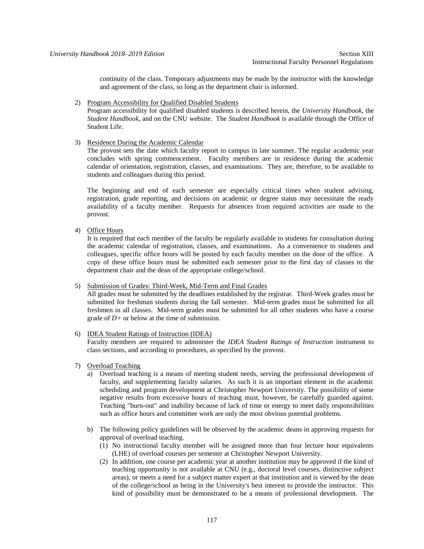continuity of the class. Temporary adjustments may be made by the instructor with the knowledge and agreement of the class, so long as the department chair is informed.

# 2) Program Accessibility for Qualified Disabled Students

Program accessibility for qualified disabled students is described herein, the *University Handbook*, the *Student Handbook*, and on the CNU website. The *Student Handbook* is available through the Office of Student Life.

# 3) Residence During the Academic Calendar

The provost sets the date which faculty report to campus in late summer. The regular academic year concludes with spring commencement. Faculty members are in residence during the academic calendar of orientation, registration, classes, and examinations. They are, therefore, to be available to students and colleagues during this period.

The beginning and end of each semester are especially critical times when student advising, registration, grade reporting, and decisions on academic or degree status may necessitate the ready availability of a faculty member. Requests for absences from required activities are made to the provost.

4) Office Hours

It is required that each member of the faculty be regularly available to students for consultation during the academic calendar of registration, classes, and examinations. As a convenience to students and colleagues, specific office hours will be posted by each faculty member on the door of the office. A copy of these office hours must be submitted each semester prior to the first day of classes to the department chair and the dean of the appropriate college/school.

5) Submission of Grades: Third-Week, Mid-Term and Final Grades

All grades must be submitted by the deadlines established by the registrar. Third-Week grades must be submitted for freshman students during the fall semester. Mid-term grades must be submitted for all freshmen in all classes. Mid-term grades must be submitted for all other students who have a course grade of *D+* or below at the time of submission.

# 6) IDEA Student Ratings of Instruction (IDEA)

Faculty members are required to administer the *IDEA Student Ratings of Instruction* instrument to class sections, and according to procedures, as specified by the provost.

- 7) Overload Teaching
	- a) Overload teaching is a means of meeting student needs, serving the professional development of faculty, and supplementing faculty salaries. As such it is an important element in the academic scheduling and program development at Christopher Newport University. The possibility of some negative results from excessive hours of teaching must, however, be carefully guarded against. Teaching "burn-out" and inability because of lack of time or energy to meet daily responsibilities such as office hours and committee work are only the most obvious potential problems.
	- b) The following policy guidelines will be observed by the academic deans in approving requests for approval of overload teaching.
		- (1) No instructional faculty member will be assigned more than four lecture hour equivalents (LHE) of overload courses per semester at Christopher Newport University.
		- (2) In addition, one course per academic year at another institution may be approved if the kind of teaching opportunity is not available at CNU (e.g., doctoral level courses, distinctive subject areas), or meets a need for a subject matter expert at that institution and is viewed by the dean of the college/school as being in the University's best interest to provide the instructor. This kind of possibility must be demonstrated to be a means of professional development. The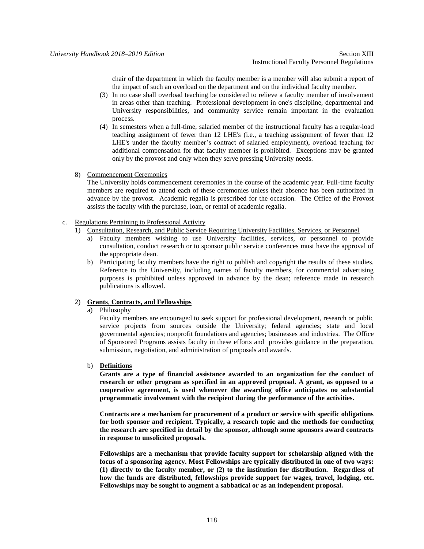chair of the department in which the faculty member is a member will also submit a report of the impact of such an overload on the department and on the individual faculty member.

- (3) In no case shall overload teaching be considered to relieve a faculty member of involvement in areas other than teaching. Professional development in one's discipline, departmental and University responsibilities, and community service remain important in the evaluation process.
- (4) In semesters when a full-time, salaried member of the instructional faculty has a regular-load teaching assignment of fewer than 12 LHE's (i.e., a teaching assignment of fewer than 12 LHE's under the faculty member's contract of salaried employment), overload teaching for additional compensation for that faculty member is prohibited. Exceptions may be granted only by the provost and only when they serve pressing University needs.
- 8) Commencement Ceremonies

The University holds commencement ceremonies in the course of the academic year. Full-time faculty members are required to attend each of these ceremonies unless their absence has been authorized in advance by the provost. Academic regalia is prescribed for the occasion. The Office of the Provost assists the faculty with the purchase, loan, or rental of academic regalia.

# c. Regulations Pertaining to Professional Activity

- 1) Consultation, Research, and Public Service Requiring University Facilities, Services, or Personnel
	- a) Faculty members wishing to use University facilities, services, or personnel to provide consultation, conduct research or to sponsor public service conferences must have the approval of the appropriate dean.
	- b) Participating faculty members have the right to publish and copyright the results of these studies. Reference to the University, including names of faculty members, for commercial advertising purposes is prohibited unless approved in advance by the dean; reference made in research publications is allowed.

# 2) **Grants**, **Contracts, and Fellowships**

# a) Philosophy

Faculty members are encouraged to seek support for professional development, research or public service projects from sources outside the University; federal agencies; state and local governmental agencies; nonprofit foundations and agencies; businesses and industries. The Office of Sponsored Programs assists faculty in these efforts and provides guidance in the preparation, submission, negotiation, and administration of proposals and awards.

# b) **Definitions**

**Grants are a type of financial assistance awarded to an organization for the conduct of research or other program as specified in an approved proposal. A grant, as opposed to a cooperative agreement, is used whenever the awarding office anticipates no substantial programmatic involvement with the recipient during the performance of the activities.** 

**Contracts are a mechanism for procurement of a product or service with specific obligations for both sponsor and recipient. Typically, a research topic and the methods for conducting the research are specified in detail by the sponsor, although some sponsors award contracts in response to unsolicited proposals.**

**Fellowships are a mechanism that provide faculty support for scholarship aligned with the focus of a sponsoring agency. Most Fellowships are typically distributed in one of two ways: (1) directly to the faculty member, or (2) to the institution for distribution. Regardless of how the funds are distributed, fellowships provide support for wages, travel, lodging, etc. Fellowships may be sought to augment a sabbatical or as an independent proposal.**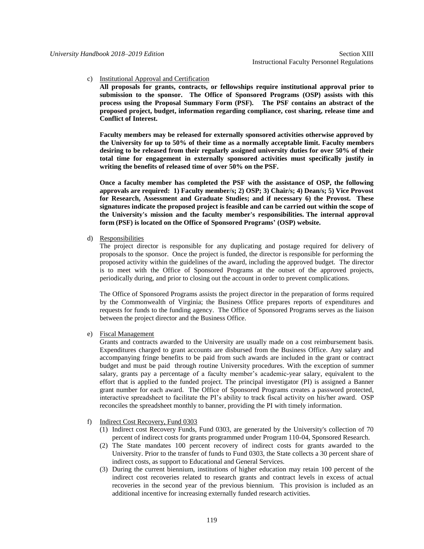## c) Institutional Approval and Certification

**All proposals for grants, contracts, or fellowships require institutional approval prior to submission to the sponsor. The Office of Sponsored Programs (OSP) assists with this process using the Proposal Summary Form (PSF). The PSF contains an abstract of the proposed project, budget, information regarding compliance, cost sharing, release time and Conflict of Interest.** 

**Faculty members may be released for externally sponsored activities otherwise approved by the University for up to 50% of their time as a normally acceptable limit. Faculty members desiring to be released from their regularly assigned university duties for over 50% of their total time for engagement in externally sponsored activities must specifically justify in writing the benefits of released time of over 50% on the PSF.** 

**Once a faculty member has completed the PSF with the assistance of OSP, the following approvals are required: 1) Faculty member/s; 2) OSP; 3) Chair/s; 4) Dean/s; 5) Vice Provost for Research, Assessment and Graduate Studies; and if necessary 6) the Provost. These signatures indicate the proposed project is feasible and can be carried out within the scope of the University's mission and the faculty member's responsibilities. The internal approval form (PSF) is located on the Office of Sponsored Programs' (OSP) website.** 

d) Responsibilities

The project director is responsible for any duplicating and postage required for delivery of proposals to the sponsor. Once the project is funded, the director is responsible for performing the proposed activity within the guidelines of the award, including the approved budget. The director is to meet with the Office of Sponsored Programs at the outset of the approved projects, periodically during, and prior to closing out the account in order to prevent complications.

The Office of Sponsored Programs assists the project director in the preparation of forms required by the Commonwealth of Virginia; the Business Office prepares reports of expenditures and requests for funds to the funding agency. The Office of Sponsored Programs serves as the liaison between the project director and the Business Office.

e) Fiscal Management

Grants and contracts awarded to the University are usually made on a cost reimbursement basis. Expenditures charged to grant accounts are disbursed from the Business Office. Any salary and accompanying fringe benefits to be paid from such awards are included in the grant or contract budget and must be paid through routine University procedures. With the exception of summer salary, grants pay a percentage of a faculty member's academic-year salary, equivalent to the effort that is applied to the funded project. The principal investigator (PI) is assigned a Banner grant number for each award. The Office of Sponsored Programs creates a password protected, interactive spreadsheet to facilitate the PI's ability to track fiscal activity on his/her award. OSP reconciles the spreadsheet monthly to banner, providing the PI with timely information.

# f) Indirect Cost Recovery, Fund 0303

- (1) Indirect cost Recovery Funds, Fund 0303, are generated by the University's collection of 70 percent of indirect costs for grants programmed under Program 110-04, Sponsored Research.
- (2) The State mandates 100 percent recovery of indirect costs for grants awarded to the University. Prior to the transfer of funds to Fund 0303, the State collects a 30 percent share of indirect costs, as support to Educational and General Services.
- (3) During the current biennium, institutions of higher education may retain 100 percent of the indirect cost recoveries related to research grants and contract levels in excess of actual recoveries in the second year of the previous biennium. This provision is included as an additional incentive for increasing externally funded research activities.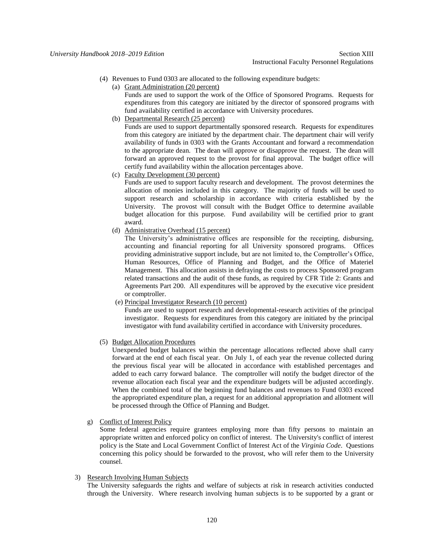- (4) Revenues to Fund 0303 are allocated to the following expenditure budgets:
	- (a) Grant Administration (20 percent)

Funds are used to support the work of the Office of Sponsored Programs. Requests for expenditures from this category are initiated by the director of sponsored programs with fund availability certified in accordance with University procedures.

(b) Departmental Research (25 percent)

Funds are used to support departmentally sponsored research. Requests for expenditures from this category are initiated by the department chair. The department chair will verify availability of funds in 0303 with the Grants Accountant and forward a recommendation to the appropriate dean. The dean will approve or disapprove the request. The dean will forward an approved request to the provost for final approval. The budget office will certify fund availability within the allocation percentages above.

(c) Faculty Development (30 percent)

Funds are used to support faculty research and development. The provost determines the allocation of monies included in this category. The majority of funds will be used to support research and scholarship in accordance with criteria established by the University. The provost will consult with the Budget Office to determine available budget allocation for this purpose. Fund availability will be certified prior to grant award.

(d) Administrative Overhead (15 percent)

The University's administrative offices are responsible for the receipting, disbursing, accounting and financial reporting for all University sponsored programs. Offices providing administrative support include, but are not limited to, the Comptroller's Office, Human Resources, Office of Planning and Budget, and the Office of Materiel Management. This allocation assists in defraying the costs to process Sponsored program related transactions and the audit of these funds, as required by CFR Title 2: Grants and Agreements Part 200. All expenditures will be approved by the executive vice president or comptroller.

(e) Principal Investigator Research (10 percent)

Funds are used to support research and developmental-research activities of the principal investigator. Requests for expenditures from this category are initiated by the principal investigator with fund availability certified in accordance with University procedures.

(5) Budget Allocation Procedures

Unexpended budget balances within the percentage allocations reflected above shall carry forward at the end of each fiscal year. On July 1, of each year the revenue collected during the previous fiscal year will be allocated in accordance with established percentages and added to each carry forward balance. The comptroller will notify the budget director of the revenue allocation each fiscal year and the expenditure budgets will be adjusted accordingly. When the combined total of the beginning fund balances and revenues to Fund 0303 exceed the appropriated expenditure plan, a request for an additional appropriation and allotment will be processed through the Office of Planning and Budget.

g) Conflict of Interest Policy

Some federal agencies require grantees employing more than fifty persons to maintain an appropriate written and enforced policy on conflict of interest. The University's conflict of interest policy is the State and Local Government Conflict of Interest Act of the *Virginia Code*. Questions concerning this policy should be forwarded to the provost, who will refer them to the University counsel.

3) Research Involving Human Subjects

The University safeguards the rights and welfare of subjects at risk in research activities conducted through the University. Where research involving human subjects is to be supported by a grant or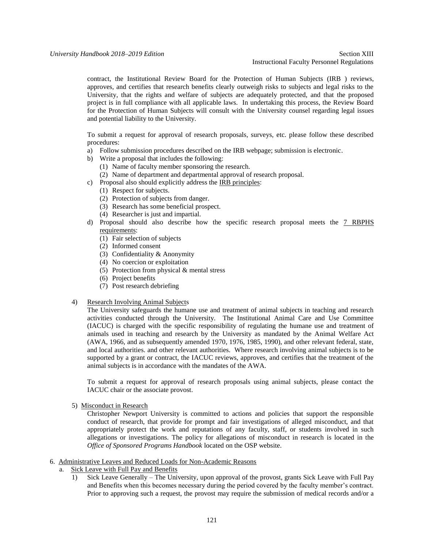contract, the Institutional Review Board for the Protection of Human Subjects (IRB ) reviews, approves, and certifies that research benefits clearly outweigh risks to subjects and legal risks to the University, that the rights and welfare of subjects are adequately protected, and that the proposed project is in full compliance with all applicable laws. In undertaking this process, the Review Board for the Protection of Human Subjects will consult with the University counsel regarding legal issues and potential liability to the University.

To submit a request for approval of research proposals, surveys, etc. please follow these described procedures:

- a) Follow submission procedures described on the IRB webpage; submission is electronic.
- b) Write a proposal that includes the following:
	- (1) Name of faculty member sponsoring the research.
	- (2) Name of department and departmental approval of research proposal.
- c) Proposal also should explicitly address the IRB principles:
	- (1) Respect for subjects.
	- (2) Protection of subjects from danger.
	- (3) Research has some beneficial prospect.
	- (4) Researcher is just and impartial.
- d) Proposal should also describe how the specific research proposal meets the 7 RBPHS requirements:
	- (1) Fair selection of subjects
	- (2) Informed consent
	- (3) Confidentiality & Anonymity
	- (4) No coercion or exploitation
	- (5) Protection from physical & mental stress
	- (6) Project benefits
	- (7) Post research debriefing
- 4) Research Involving Animal Subjects

The University safeguards the humane use and treatment of animal subjects in teaching and research activities conducted through the University. The Institutional Animal Care and Use Committee (IACUC) is charged with the specific responsibility of regulating the humane use and treatment of animals used in teaching and research by the University as mandated by the Animal Welfare Act (AWA, 1966, and as subsequently amended 1970, 1976, 1985, 1990), and other relevant federal, state, and local authorities. and other relevant authorities. Where research involving animal subjects is to be supported by a grant or contract, the IACUC reviews, approves, and certifies that the treatment of the animal subjects is in accordance with the mandates of the AWA.

To submit a request for approval of research proposals using animal subjects, please contact the IACUC chair or the associate provost.

5) Misconduct in Research

Christopher Newport University is committed to actions and policies that support the responsible conduct of research, that provide for prompt and fair investigations of alleged misconduct, and that appropriately protect the work and reputations of any faculty, staff, or students involved in such allegations or investigations. The policy for allegations of misconduct in research is located in the *Office of Sponsored Programs Handbook* located on the OSP website.

- 6. Administrative Leaves and Reduced Loads for Non-Academic Reasons
	- a. Sick Leave with Full Pay and Benefits
		- 1) Sick Leave Generally The University, upon approval of the provost, grants Sick Leave with Full Pay and Benefits when this becomes necessary during the period covered by the faculty member's contract. Prior to approving such a request, the provost may require the submission of medical records and/or a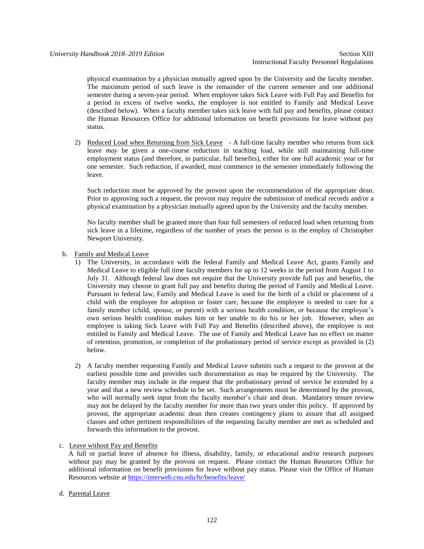physical examination by a physician mutually agreed upon by the University and the faculty member. The maximum period of such leave is the remainder of the current semester and one additional semester during a seven-year period. When employee takes Sick Leave with Full Pay and Benefits for a period in excess of twelve weeks, the employee is not entitled to Family and Medical Leave (described below). When a faculty member takes sick leave with full pay and benefits, please contact the Human Resources Office for additional information on benefit provisions for leave without pay status.

2) Reduced Load when Returning from Sick Leave - A full-time faculty member who returns from sick leave *may* be given a one-course reduction in teaching load, while still maintaining full-time employment status (and therefore, in particular, full benefits), either for one full academic year or for one semester. Such reduction, if awarded, must commence in the semester immediately following the leave.

Such reduction must be approved by the provost upon the recommendation of the appropriate dean. Prior to approving such a request, the provost may require the submission of medical records and/or a physical examination by a physician mutually agreed upon by the University and the faculty member.

No faculty member shall be granted more than four full semesters of reduced load when returning from sick leave in a lifetime, regardless of the number of years the person is in the employ of Christopher Newport University.

b. Family and Medical Leave

- 1) The University, in accordance with the federal Family and Medical Leave Act, grants Family and Medical Leave to eligible full time faculty members for up to 12 weeks in the period from August 1 to July 31. Although federal law does not require that the University provide full pay and benefits, the University may choose to grant full pay and benefits during the period of Family and Medical Leave. Pursuant to federal law, Family and Medical Leave is used for the birth of a child or placement of a child with the employee for adoption or foster care, because the employee is needed to care for a family member (child, spouse, or parent) with a serious health condition, or because the employee's own serious health condition makes him or her unable to do his or her job. However, when an employee is taking Sick Leave with Full Pay and Benefits (described above), the employee is not entitled to Family and Medical Leave. The use of Family and Medical Leave has no effect on matter of retention, promotion, or completion of the probationary period of service except as provided in (2) below.
- 2) A faculty member requesting Family and Medical Leave submits such a request to the provost at the earliest possible time and provides such documentation as may be required by the University. The faculty member may include in the request that the probationary period of service be extended by a year and that a new review schedule to be set. Such arrangements must be determined by the provost, who will normally seek input from the faculty member's chair and dean. Mandatory tenure review may not be delayed by the faculty member for more than two years under this policy. If approved by provost, the appropriate academic dean then creates contingency plans to assure that all assigned classes and other pertinent responsibilities of the requesting faculty member are met as scheduled and forwards this information to the provost.

c. Leave without Pay and Benefits

A full or partial leave of absence for illness, disability, family, or educational and/or research purposes without pay may be granted by the provost on request. Please contact the Human Resources Office for additional information on benefit provisions for leave without pay status. Please visit the Office of Human Resources website at<https://interweb.cnu.edu/hr/benefits/leave/>

# d. Parental Leave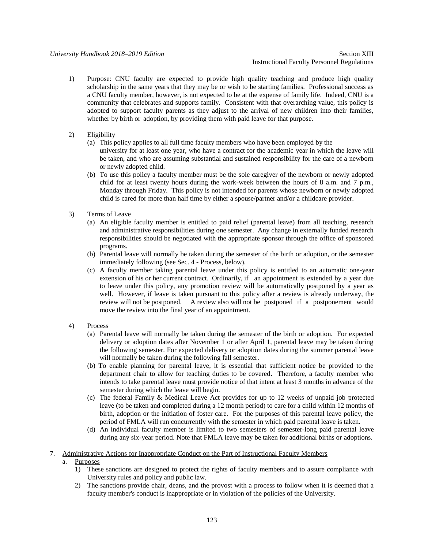- 1) Purpose: CNU faculty are expected to provide high quality teaching and produce high quality scholarship in the same years that they may be or wish to be starting families. Professional success as a CNU faculty member, however, is not expected to be at the expense of family life. Indeed, CNU is a community that celebrates and supports family. Consistent with that overarching value, this policy is adopted to support faculty parents as they adjust to the arrival of new children into their families, whether by birth or adoption, by providing them with paid leave for that purpose.
- 2) Eligibility
	- (a) This policy applies to all full time faculty members who have been employed by the university for at least one year, who have a contract for the academic year in which the leave will be taken, and who are assuming substantial and sustained responsibility for the care of a newborn or newly adopted child.
	- (b) To use this policy a faculty member must be the sole caregiver of the newborn or newly adopted child for at least twenty hours during the work-week between the hours of 8 a.m. and 7 p.m., Monday through Friday. This policy is not intended for parents whose newborn or newly adopted child is cared for more than half time by either a spouse/partner and/or a childcare provider.
- 3) Terms of Leave
	- (a) An eligible faculty member is entitled to paid relief (parental leave) from all teaching, research and administrative responsibilities during one semester. Any change in externally funded research responsibilities should be negotiated with the appropriate sponsor through the office of sponsored programs.
	- (b) Parental leave will normally be taken during the semester of the birth or adoption, or the semester immediately following (see Sec. 4 - Process, below).
	- (c) A faculty member taking parental leave under this policy is entitled to an automatic one-year extension of his or her current contract. Ordinarily, if an appointment is extended by a year due to leave under this policy, any promotion review will be automatically postponed by a year as well. However, if leave is taken pursuant to this policy after a review is already underway, the review will not be postponed. A review also will not be postponed if a postponement would move the review into the final year of an appointment.
- 4) Process
	- (a) Parental leave will normally be taken during the semester of the birth or adoption. For expected delivery or adoption dates after November 1 or after April 1, parental leave may be taken during the following semester. For expected delivery or adoption dates during the summer parental leave will normally be taken during the following fall semester.
	- (b) To enable planning for parental leave, it is essential that sufficient notice be provided to the department chair to allow for teaching duties to be covered. Therefore, a faculty member who intends to take parental leave must provide notice of that intent at least 3 months in advance of the semester during which the leave will begin.
	- (c) The federal Family & Medical Leave Act provides for up to 12 weeks of unpaid job protected leave (to be taken and completed during a 12 month period) to care for a child within 12 months of birth, adoption or the initiation of foster care. For the purposes of this parental leave policy, the period of FMLA will run concurrently with the semester in which paid parental leave is taken.
	- (d) An individual faculty member is limited to two semesters of semester-long paid parental leave during any six-year period. Note that FMLA leave may be taken for additional births or adoptions.
- 7. Administrative Actions for Inappropriate Conduct on the Part of Instructional Faculty Members
	- a. Purposes
		- 1) These sanctions are designed to protect the rights of faculty members and to assure compliance with University rules and policy and public law.
		- 2) The sanctions provide chair, deans, and the provost with a process to follow when it is deemed that a faculty member's conduct is inappropriate or in violation of the policies of the University.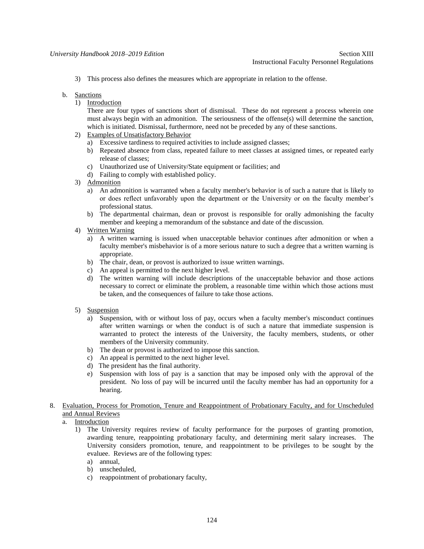3) This process also defines the measures which are appropriate in relation to the offense.

# b. Sanctions

- 1) Introduction
	- There are four types of sanctions short of dismissal. These do not represent a process wherein one must always begin with an admonition. The seriousness of the offense(s) will determine the sanction, which is initiated. Dismissal, furthermore, need not be preceded by any of these sanctions.
- 2) Examples of Unsatisfactory Behavior
	- a) Excessive tardiness to required activities to include assigned classes;
	- b) Repeated absence from class, repeated failure to meet classes at assigned times, or repeated early release of classes;
	- c) Unauthorized use of University/State equipment or facilities; and
	- d) Failing to comply with established policy.
- 3) Admonition
	- a) An admonition is warranted when a faculty member's behavior is of such a nature that is likely to or does reflect unfavorably upon the department or the University or on the faculty member's professional status.
	- b) The departmental chairman, dean or provost is responsible for orally admonishing the faculty member and keeping a memorandum of the substance and date of the discussion.
- 4) Written Warning
	- a) A written warning is issued when unacceptable behavior continues after admonition or when a faculty member's misbehavior is of a more serious nature to such a degree that a written warning is appropriate.
	- b) The chair, dean, or provost is authorized to issue written warnings.
	- c) An appeal is permitted to the next higher level.
	- d) The written warning will include descriptions of the unacceptable behavior and those actions necessary to correct or eliminate the problem, a reasonable time within which those actions must be taken, and the consequences of failure to take those actions.
- 5) Suspension
	- a) Suspension, with or without loss of pay, occurs when a faculty member's misconduct continues after written warnings or when the conduct is of such a nature that immediate suspension is warranted to protect the interests of the University, the faculty members, students, or other members of the University community.
	- b) The dean or provost is authorized to impose this sanction.
	- c) An appeal is permitted to the next higher level.
	- d) The president has the final authority.
	- e) Suspension with loss of pay is a sanction that may be imposed only with the approval of the president. No loss of pay will be incurred until the faculty member has had an opportunity for a hearing.
- 8. Evaluation, Process for Promotion, Tenure and Reappointment of Probationary Faculty, and for Unscheduled and Annual Reviews
	- a. Introduction
		- 1) The University requires review of faculty performance for the purposes of granting promotion, awarding tenure, reappointing probationary faculty, and determining merit salary increases. The University considers promotion, tenure, and reappointment to be privileges to be sought by the evaluee. Reviews are of the following types:
			- a) annual,
			- b) unscheduled,
			- c) reappointment of probationary faculty,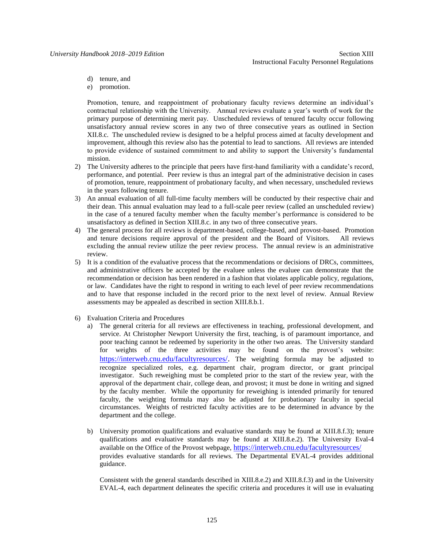- d) tenure, and
- e) promotion.

Promotion, tenure, and reappointment of probationary faculty reviews determine an individual's contractual relationship with the University. Annual reviews evaluate a year's worth of work for the primary purpose of determining merit pay. Unscheduled reviews of tenured faculty occur following unsatisfactory annual review scores in any two of three consecutive years as outlined in Section XII.8.c. The unscheduled review is designed to be a helpful process aimed at faculty development and improvement, although this review also has the potential to lead to sanctions. All reviews are intended to provide evidence of sustained commitment to and ability to support the University's fundamental mission.

- 2) The University adheres to the principle that peers have first-hand familiarity with a candidate's record, performance, and potential. Peer review is thus an integral part of the administrative decision in cases of promotion, tenure, reappointment of probationary faculty, and when necessary, unscheduled reviews in the years following tenure.
- 3) An annual evaluation of all full-time faculty members will be conducted by their respective chair and their dean. This annual evaluation may lead to a full-scale peer review (called an unscheduled review) in the case of a tenured faculty member when the faculty member's performance is considered to be unsatisfactory as defined in Section XIII.8.c. in any two of three consecutive years.
- 4) The general process for all reviews is department-based, college-based, and provost-based. Promotion and tenure decisions require approval of the president and the Board of Visitors. All reviews excluding the annual review utilize the peer review process. The annual review is an administrative review.
- 5) It is a condition of the evaluative process that the recommendations or decisions of DRCs, committees, and administrative officers be accepted by the evaluee unless the evaluee can demonstrate that the recommendation or decision has been rendered in a fashion that violates applicable policy, regulations, or law. Candidates have the right to respond in writing to each level of peer review recommendations and to have that response included in the record prior to the next level of review. Annual Review assessments may be appealed as described in section XIII.8.b.1.
- 6) Evaluation Criteria and Procedures
	- a) The general criteria for all reviews are effectiveness in teaching, professional development, and service. At Christopher Newport University the first, teaching, is of paramount importance, and poor teaching cannot be redeemed by superiority in the other two areas. The University standard for weights of the three activities may be found on the provost's website: [https://interweb.cnu.edu/facultyresources](https://interweb.cnu.edu/facultyresources/)/. The weighting formula may be adjusted to recognize specialized roles, e.g. department chair, program director, or grant principal investigator. Such reweighing must be completed prior to the start of the review year, with the approval of the department chair, college dean, and provost; it must be done in writing and signed by the faculty member. While the opportunity for reweighing is intended primarily for tenured faculty, the weighting formula may also be adjusted for probationary faculty in special circumstances. Weights of restricted faculty activities are to be determined in advance by the department and the college.
	- b) University promotion qualifications and evaluative standards may be found at XIII.8.f.3); tenure qualifications and evaluative standards may be found at XIII.8.e.2). The University Eval-4 available on the Office of the Provost webpage, <https://interweb.cnu.edu/facultyresources/> provides evaluative standards for all reviews. The Departmental EVAL-4 provides additional guidance.

Consistent with the general standards described in XIII.8.e.2) and XIII.8.f.3) and in the University EVAL-4, each department delineates the specific criteria and procedures it will use in evaluating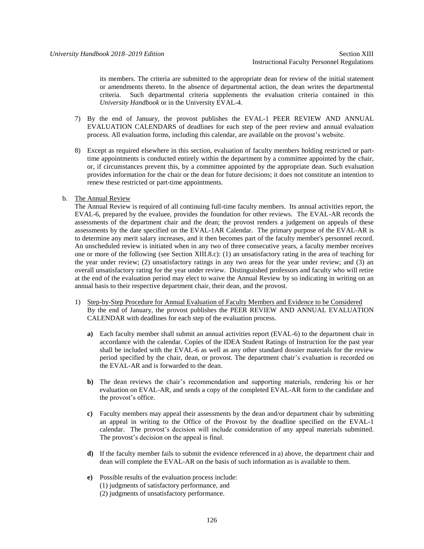its members. The criteria are submitted to the appropriate dean for review of the initial statement or amendments thereto. In the absence of departmental action, the dean writes the departmental criteria. Such departmental criteria supplements the evaluation criteria contained in this *University Handbook* or in the University EVAL-4*.* 

- 7) By the end of January, the provost publishes the EVAL-1 PEER REVIEW AND ANNUAL EVALUATION CALENDARS of deadlines for each step of the peer review and annual evaluation process. All evaluation forms, including this calendar, are available on the provost's website.
- 8) Except as required elsewhere in this section, evaluation of faculty members holding restricted or parttime appointments is conducted entirely within the department by a committee appointed by the chair, or, if circumstances prevent this, by a committee appointed by the appropriate dean. Such evaluation provides information for the chair or the dean for future decisions; it does not constitute an intention to renew these restricted or part-time appointments.

# b. The Annual Review

The Annual Review is required of all continuing full-time faculty members. Its annual activities report, the EVAL-6, prepared by the evaluee, provides the foundation for other reviews. The EVAL-AR records the assessments of the department chair and the dean; the provost renders a judgement on appeals of these assessments by the date specified on the EVAL-1AR Calendar. The primary purpose of the EVAL-AR is to determine any merit salary increases, and it then becomes part of the faculty member's personnel record. An unscheduled review is initiated when in any two of three consecutive years, a faculty member receives one or more of the following (see Section XIII.8.c): (1) an unsatisfactory rating in the area of teaching for the year under review; (2) unsatisfactory ratings in any two areas for the year under review; and (3) an overall unsatisfactory rating for the year under review. Distinguished professors and faculty who will retire at the end of the evaluation period may elect to waive the Annual Review by so indicating in writing on an annual basis to their respective department chair, their dean, and the provost.

- 1) Step-by-Step Procedure for Annual Evaluation of Faculty Members and Evidence to be Considered By the end of January, the provost publishes the PEER REVIEW AND ANNUAL EVALUATION CALENDAR with deadlines for each step of the evaluation process.
	- **a)** Each faculty member shall submit an annual activities report (EVAL-6) to the department chair in accordance with the calendar. Copies of the IDEA Student Ratings of Instruction for the past year shall be included with the EVAL-6 as well as any other standard dossier materials for the review period specified by the chair, dean, or provost. The department chair's evaluation is recorded on the EVAL-AR and is forwarded to the dean.
	- **b)** The dean reviews the chair's recommendation and supporting materials, rendering his or her evaluation on EVAL-AR, and sends a copy of the completed EVAL-AR form to the candidate and the provost's office.
	- **c)** Faculty members may appeal their assessments by the dean and/or department chair by submitting an appeal in writing to the Office of the Provost by the deadline specified on the EVAL-1 calendar. The provost's decision will include consideration of any appeal materials submitted. The provost's decision on the appeal is final.
	- **d)** If the faculty member fails to submit the evidence referenced in a) above, the department chair and dean will complete the EVAL-AR on the basis of such information as is available to them.
	- **e)** Possible results of the evaluation process include: (1) judgments of satisfactory performance, and (2) judgments of unsatisfactory performance.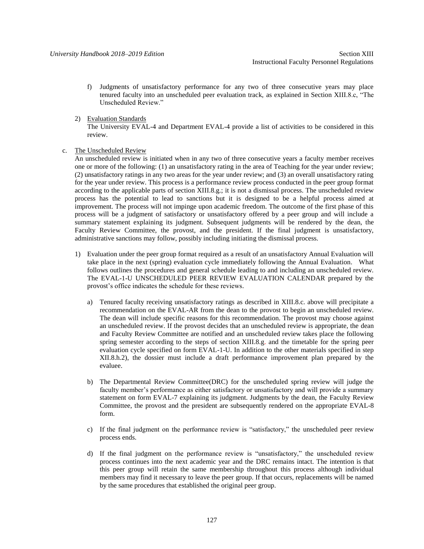- f) Judgments of unsatisfactory performance for any two of three consecutive years may place tenured faculty into an unscheduled peer evaluation track, as explained in Section XIII.8.c, "The Unscheduled Review."
- 2) Evaluation Standards

The University EVAL-4 and Department EVAL-4 provide a list of activities to be considered in this review.

c. The Unscheduled Review

An unscheduled review is initiated when in any two of three consecutive years a faculty member receives one or more of the following: (1) an unsatisfactory rating in the area of Teaching for the year under review; (2) unsatisfactory ratings in any two areas for the year under review; and (3) an overall unsatisfactory rating for the year under review. This process is a performance review process conducted in the peer group format according to the applicable parts of section XIII.8.g.; it is not a dismissal process. The unscheduled review process has the potential to lead to sanctions but it is designed to be a helpful process aimed at improvement. The process will not impinge upon academic freedom. The outcome of the first phase of this process will be a judgment of satisfactory or unsatisfactory offered by a peer group and will include a summary statement explaining its judgment. Subsequent judgments will be rendered by the dean, the Faculty Review Committee, the provost, and the president. If the final judgment is unsatisfactory, administrative sanctions may follow, possibly including initiating the dismissal process.

- 1) Evaluation under the peer group format required as a result of an unsatisfactory Annual Evaluation will take place in the next (spring) evaluation cycle immediately following the Annual Evaluation. What follows outlines the procedures and general schedule leading to and including an unscheduled review. The EVAL-1-U UNSCHEDULED PEER REVIEW EVALUATION CALENDAR prepared by the provost's office indicates the schedule for these reviews.
	- a) Tenured faculty receiving unsatisfactory ratings as described in XIII.8.c. above will precipitate a recommendation on the EVAL-AR from the dean to the provost to begin an unscheduled review. The dean will include specific reasons for this recommendation. The provost may choose against an unscheduled review. If the provost decides that an unscheduled review is appropriate, the dean and Faculty Review Committee are notified and an unscheduled review takes place the following spring semester according to the steps of section XIII.8.g. and the timetable for the spring peer evaluation cycle specified on form EVAL-1-U. In addition to the other materials specified in step XII.8.h.2), the dossier must include a draft performance improvement plan prepared by the evaluee.
	- b) The Departmental Review Committee(DRC) for the unscheduled spring review will judge the faculty member's performance as either satisfactory or unsatisfactory and will provide a summary statement on form EVAL-7 explaining its judgment. Judgments by the dean, the Faculty Review Committee, the provost and the president are subsequently rendered on the appropriate EVAL-8 form.
	- c) If the final judgment on the performance review is "satisfactory," the unscheduled peer review process ends.
	- d) If the final judgment on the performance review is "unsatisfactory," the unscheduled review process continues into the next academic year and the DRC remains intact. The intention is that this peer group will retain the same membership throughout this process although individual members may find it necessary to leave the peer group. If that occurs, replacements will be named by the same procedures that established the original peer group.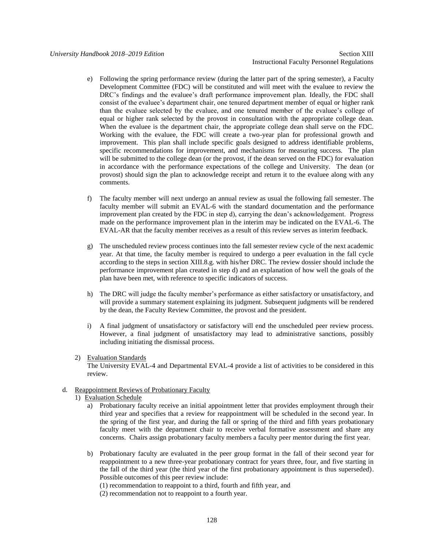- e) Following the spring performance review (during the latter part of the spring semester), a Faculty Development Committee (FDC) will be constituted and will meet with the evaluee to review the DRC's findings and the evaluee's draft performance improvement plan. Ideally, the FDC shall consist of the evaluee's department chair, one tenured department member of equal or higher rank than the evaluee selected by the evaluee, and one tenured member of the evaluee's college of equal or higher rank selected by the provost in consultation with the appropriate college dean. When the evaluee is the department chair, the appropriate college dean shall serve on the FDC. Working with the evaluee, the FDC will create a two-year plan for professional growth and improvement. This plan shall include specific goals designed to address identifiable problems, specific recommendations for improvement, and mechanisms for measuring success. The plan will be submitted to the college dean (or the provost, if the dean served on the FDC) for evaluation in accordance with the performance expectations of the college and University. The dean (or provost) should sign the plan to acknowledge receipt and return it to the evaluee along with any comments.
- f) The faculty member will next undergo an annual review as usual the following fall semester. The faculty member will submit an EVAL-6 with the standard documentation and the performance improvement plan created by the FDC in step d), carrying the dean's acknowledgement. Progress made on the performance improvement plan in the interim may be indicated on the EVAL-6. The EVAL-AR that the faculty member receives as a result of this review serves as interim feedback.
- g) The unscheduled review process continues into the fall semester review cycle of the next academic year. At that time, the faculty member is required to undergo a peer evaluation in the fall cycle according to the steps in section XIII.8.g. with his/her DRC. The review dossier should include the performance improvement plan created in step d) and an explanation of how well the goals of the plan have been met, with reference to specific indicators of success.
- h) The DRC will judge the faculty member's performance as either satisfactory or unsatisfactory, and will provide a summary statement explaining its judgment. Subsequent judgments will be rendered by the dean, the Faculty Review Committee, the provost and the president.
- i) A final judgment of unsatisfactory or satisfactory will end the unscheduled peer review process. However, a final judgment of unsatisfactory may lead to administrative sanctions, possibly including initiating the dismissal process.
- 2) Evaluation Standards

The University EVAL-4 and Departmental EVAL-4 provide a list of activities to be considered in this review.

- d. Reappointment Reviews of Probationary Faculty
	- 1) Evaluation Schedule
		- a) Probationary faculty receive an initial appointment letter that provides employment through their third year and specifies that a review for reappointment will be scheduled in the second year. In the spring of the first year, and during the fall or spring of the third and fifth years probationary faculty meet with the department chair to receive verbal formative assessment and share any concerns. Chairs assign probationary faculty members a faculty peer mentor during the first year.
		- b) Probationary faculty are evaluated in the peer group format in the fall of their second year for reappointment to a new three-year probationary contract for years three, four, and five starting in the fall of the third year (the third year of the first probationary appointment is thus superseded). Possible outcomes of this peer review include:
			- (1) recommendation to reappoint to a third, fourth and fifth year, and
			- (2) recommendation not to reappoint to a fourth year.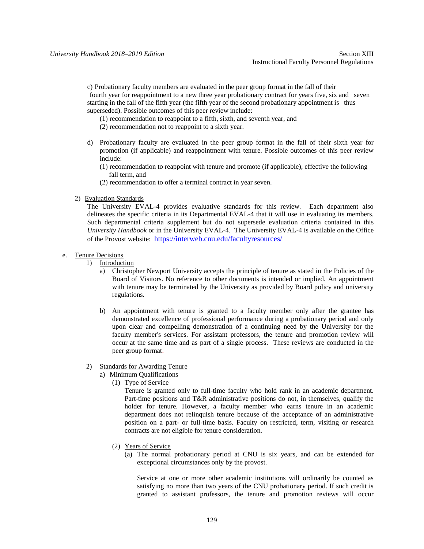c) Probationary faculty members are evaluated in the peer group format in the fall of their fourth year for reappointment to a new three year probationary contract for years five, six and seven starting in the fall of the fifth year (the fifth year of the second probationary appointment is thus superseded). Possible outcomes of this peer review include:

- (1) recommendation to reappoint to a fifth, sixth, and seventh year, and
- (2) recommendation not to reappoint to a sixth year.
- d) Probationary faculty are evaluated in the peer group format in the fall of their sixth year for promotion (if applicable) and reappointment with tenure. Possible outcomes of this peer review include:
	- (1) recommendation to reappoint with tenure and promote (if applicable), effective the following fall term, and
	- (2) recommendation to offer a terminal contract in year seven.
- 2) Evaluation Standards

The University EVAL-4 provides evaluative standards for this review. Each department also delineates the specific criteria in its Departmental EVAL-4 that it will use in evaluating its members. Such departmental criteria supplement but do not supersede evaluation criteria contained in this *University Handbook* or in the University EVAL-4. The University EVAL-4 is available on the Office of the Provost website: <https://interweb.cnu.edu/facultyresources/>

# e. Tenure Decisions

- 1) Introduction
	- a) Christopher Newport University accepts the principle of tenure as stated in the Policies of the Board of Visitors. No reference to other documents is intended or implied. An appointment with tenure may be terminated by the University as provided by Board policy and university regulations.
	- b) An appointment with tenure is granted to a faculty member only after the grantee has demonstrated excellence of professional performance during a probationary period and only upon clear and compelling demonstration of a continuing need by the University for the faculty member's services. For assistant professors, the tenure and promotion review will occur at the same time and as part of a single process. These reviews are conducted in the peer group format.

# 2) Standards for Awarding Tenure

- a) Minimum Qualifications
	- (1) Type of Service

Tenure is granted only to full-time faculty who hold rank in an academic department. Part-time positions and T&R administrative positions do not, in themselves, qualify the holder for tenure. However, a faculty member who earns tenure in an academic department does not relinquish tenure because of the acceptance of an administrative position on a part- or full-time basis. Faculty on restricted, term, visiting or research contracts are not eligible for tenure consideration.

- (2) Years of Service
	- (a) The normal probationary period at CNU is six years, and can be extended for exceptional circumstances only by the provost.

Service at one or more other academic institutions will ordinarily be counted as satisfying no more than two years of the CNU probationary period. If such credit is granted to assistant professors, the tenure and promotion reviews will occur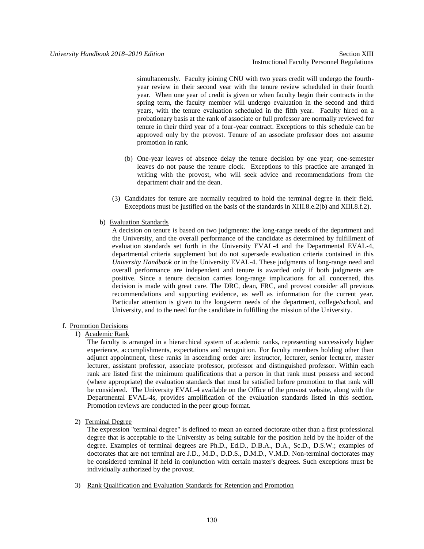simultaneously. Faculty joining CNU with two years credit will undergo the fourthyear review in their second year with the tenure review scheduled in their fourth year. When one year of credit is given or when faculty begin their contracts in the spring term, the faculty member will undergo evaluation in the second and third years, with the tenure evaluation scheduled in the fifth year. Faculty hired on a probationary basis at the rank of associate or full professor are normally reviewed for tenure in their third year of a four-year contract. Exceptions to this schedule can be approved only by the provost. Tenure of an associate professor does not assume promotion in rank.

- (b) One-year leaves of absence delay the tenure decision by one year; one-semester leaves do not pause the tenure clock. Exceptions to this practice are arranged in writing with the provost, who will seek advice and recommendations from the department chair and the dean.
- (3) Candidates for tenure are normally required to hold the terminal degree in their field. Exceptions must be justified on the basis of the standards in XIII.8.e.2)b) and XIII.8.f.2).
- b) Evaluation Standards

A decision on tenure is based on two judgments: the long-range needs of the department and the University, and the overall performance of the candidate as determined by fulfillment of evaluation standards set forth in the University EVAL-4 and the Departmental EVAL-4, departmental criteria supplement but do not supersede evaluation criteria contained in this *University Handbook* or in the University EVAL-4. These judgments of long-range need and overall performance are independent and tenure is awarded only if both judgments are positive. Since a tenure decision carries long-range implications for all concerned, this decision is made with great care. The DRC, dean, FRC, and provost consider all previous recommendations and supporting evidence, as well as information for the current year. Particular attention is given to the long-term needs of the department, college/school, and University, and to the need for the candidate in fulfilling the mission of the University.

# f. Promotion Decisions

1) Academic Rank

The faculty is arranged in a hierarchical system of academic ranks, representing successively higher experience, accomplishments, expectations and recognition. For faculty members holding other than adjunct appointment, these ranks in ascending order are: instructor, lecturer, senior lecturer, master lecturer, assistant professor, associate professor, professor and distinguished professor. Within each rank are listed first the minimum qualifications that a person in that rank must possess and second (where appropriate) the evaluation standards that must be satisfied before promotion to that rank will be considered. The University EVAL-4 available on the Office of the provost website, along with the Departmental EVAL-4s, provides amplification of the evaluation standards listed in this section. Promotion reviews are conducted in the peer group format.

2) Terminal Degree

The expression "terminal degree" is defined to mean an earned doctorate other than a first professional degree that is acceptable to the University as being suitable for the position held by the holder of the degree. Examples of terminal degrees are Ph.D., Ed.D., D.B.A., D.A., Sc.D., D.S.W.; examples of doctorates that are not terminal are J.D., M.D., D.D.S., D.M.D., V.M.D. Non-terminal doctorates may be considered terminal if held in conjunction with certain master's degrees. Such exceptions must be individually authorized by the provost.

3) Rank Qualification and Evaluation Standards for Retention and Promotion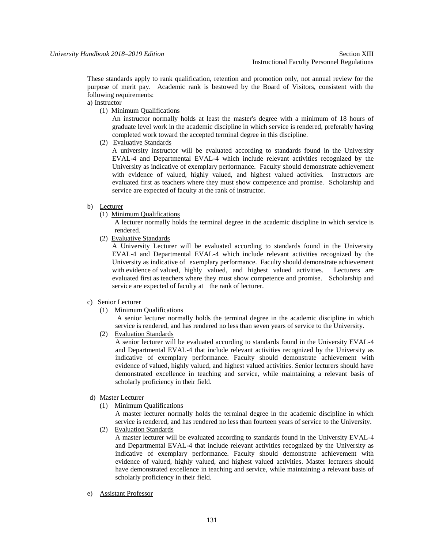These standards apply to rank qualification, retention and promotion only, not annual review for the purpose of merit pay. Academic rank is bestowed by the Board of Visitors, consistent with the following requirements:

a) Instructor

(1) Minimum Qualifications

An instructor normally holds at least the master's degree with a minimum of 18 hours of graduate level work in the academic discipline in which service is rendered, preferably having completed work toward the accepted terminal degree in this discipline.

(2) Evaluative Standards

A university instructor will be evaluated according to standards found in the University EVAL-4 and Departmental EVAL-4 which include relevant activities recognized by the University as indicative of exemplary performance. Faculty should demonstrate achievement with evidence of valued, highly valued, and highest valued activities. Instructors are evaluated first as teachers where they must show competence and promise. Scholarship and service are expected of faculty at the rank of instructor.

# b) Lecturer

(1) Minimum Qualifications

A lecturer normally holds the terminal degree in the academic discipline in which service is rendered.

(2) Evaluative Standards

A University Lecturer will be evaluated according to standards found in the University EVAL-4 and Departmental EVAL-4 which include relevant activities recognized by the University as indicative of exemplary performance. Faculty should demonstrate achievement with evidence of valued, highly valued, and highest valued activities. Lecturers are evaluated first as teachers where they must show competence and promise. Scholarship and service are expected of faculty at the rank of lecturer.

# c) Senior Lecturer

(1) Minimum Qualifications

A senior lecturer normally holds the terminal degree in the academic discipline in which service is rendered, and has rendered no less than seven years of service to the University.

(2) Evaluation Standards

A senior lecturer will be evaluated according to standards found in the University EVAL-4 and Departmental EVAL-4 that include relevant activities recognized by the University as indicative of exemplary performance. Faculty should demonstrate achievement with evidence of valued, highly valued, and highest valued activities. Senior lecturers should have demonstrated excellence in teaching and service, while maintaining a relevant basis of scholarly proficiency in their field.

# d) Master Lecturer

(1) Minimum Qualifications

A master lecturer normally holds the terminal degree in the academic discipline in which service is rendered, and has rendered no less than fourteen years of service to the University.

(2) Evaluation Standards

A master lecturer will be evaluated according to standards found in the University EVAL-4 and Departmental EVAL-4 that include relevant activities recognized by the University as indicative of exemplary performance. Faculty should demonstrate achievement with evidence of valued, highly valued, and highest valued activities. Master lecturers should have demonstrated excellence in teaching and service, while maintaining a relevant basis of scholarly proficiency in their field.

e) Assistant Professor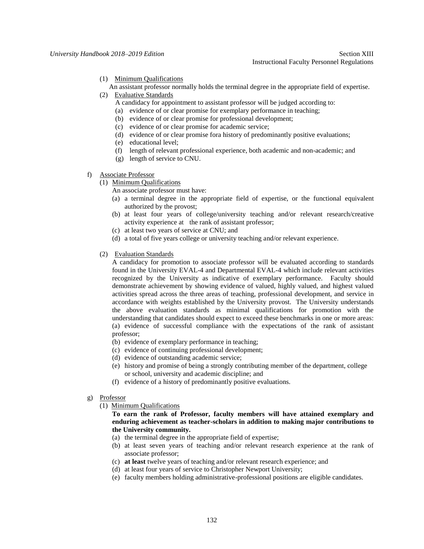- (1) Minimum Qualifications
	- An assistant professor normally holds the terminal degree in the appropriate field of expertise.
- (2) Evaluative Standards
	- A candidacy for appointment to assistant professor will be judged according to:
	- (a) evidence of or clear promise for exemplary performance in teaching;
	- (b) evidence of or clear promise for professional development;
	- (c) evidence of or clear promise for academic service;
	- (d) evidence of or clear promise fora history of predominantly positive evaluations;
	- (e) educational level;
	- (f) length of relevant professional experience, both academic and non-academic; and
	- (g) length of service to CNU.
- f) Associate Professor
	- (1) Minimum Qualifications
		- An associate professor must have:
		- (a) a terminal degree in the appropriate field of expertise, or the functional equivalent authorized by the provost;
		- (b) at least four years of college/university teaching and/or relevant research/creative activity experience at the rank of assistant professor;
		- (c) at least two years of service at CNU; and
		- (d) a total of five years college or university teaching and/or relevant experience.
	- (2) Evaluation Standards

A candidacy for promotion to associate professor will be evaluated according to standards found in the University EVAL-4 and Departmental EVAL-4 which include relevant activities recognized by the University as indicative of exemplary performance. Faculty should demonstrate achievement by showing evidence of valued, highly valued, and highest valued activities spread across the three areas of teaching, professional development, and service in accordance with weights established by the University provost. The University understands the above evaluation standards as minimal qualifications for promotion with the understanding that candidates should expect to exceed these benchmarks in one or more areas: (a) evidence of successful compliance with the expectations of the rank of assistant professor;

- (b) evidence of exemplary performance in teaching;
- (c) evidence of continuing professional development;
- (d) evidence of outstanding academic service;
- (e) history and promise of being a strongly contributing member of the department, college or school, university and academic discipline; and
- (f) evidence of a history of predominantly positive evaluations.
- g) Professor
	- (1) Minimum Qualifications

**To earn the rank of Professor, faculty members will have attained exemplary and enduring achievement as teacher-scholars in addition to making major contributions to the University community.**

- (a) the terminal degree in the appropriate field of expertise;
- (b) at least seven years of teaching and/or relevant research experience at the rank of associate professor;
- (c) **at least** twelve years of teaching and/or relevant research experience; and
- (d) at least four years of service to Christopher Newport University;
- (e) faculty members holding administrative-professional positions are eligible candidates.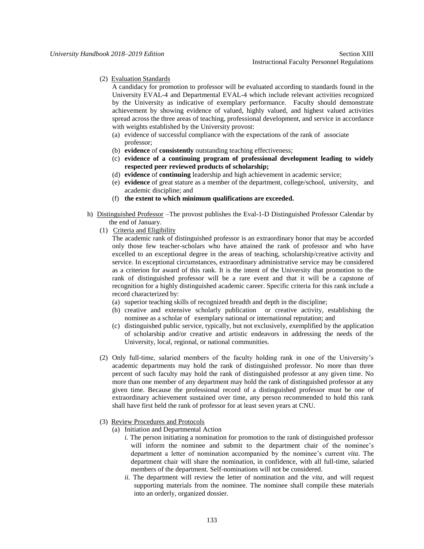# (2) Evaluation Standards

A candidacy for promotion to professor will be evaluated according to standards found in the University EVAL-4 and Departmental EVAL-4 which include relevant activities recognized by the University as indicative of exemplary performance. Faculty should demonstrate achievement by showing evidence of valued, highly valued, and highest valued activities spread across the three areas of teaching, professional development, and service in accordance with weights established by the University provost:

- (a) evidence of successful compliance with the expectations of the rank of associate professor;
- (b) **evidence** of **consistently** outstanding teaching effectiveness;
- (c) **evidence of a continuing program of professional development leading to widely respected peer reviewed products of scholarship;**
- (d) **evidence** of **continuing** leadership and high achievement in academic service;
- (e) **evidence** of great stature as a member of the department, college/school, university, and academic discipline; and
- (f) **the extent to which minimum qualifications are exceeded.**
- h) Distinguished Professor –The provost publishes the Eval-1-D Distinguished Professor Calendar by the end of January.
	- (1) Criteria and Eligibility

The academic rank of distinguished professor is an extraordinary honor that may be accorded only those few teacher-scholars who have attained the rank of professor and who have excelled to an exceptional degree in the areas of teaching, scholarship/creative activity and service. In exceptional circumstances, extraordinary administrative service may be considered as a criterion for award of this rank. It is the intent of the University that promotion to the rank of distinguished professor will be a rare event and that it will be a capstone of recognition for a highly distinguished academic career. Specific criteria for this rank include a record characterized by:

- (a) superior teaching skills of recognized breadth and depth in the discipline;
- (b) creative and extensive scholarly publication or creative activity, establishing the nominee as a scholar of exemplary national or international reputation; and
- (c) distinguished public service, typically, but not exclusively, exemplified by the application of scholarship and/or creative and artistic endeavors in addressing the needs of the University, local, regional, or national communities.
- (2) Only full-time, salaried members of the faculty holding rank in one of the University's academic departments may hold the rank of distinguished professor. No more than three percent of such faculty may hold the rank of distinguished professor at any given time. No more than one member of any department may hold the rank of distinguished professor at any given time. Because the professional record of a distinguished professor must be one of extraordinary achievement sustained over time, any person recommended to hold this rank shall have first held the rank of professor for at least seven years at CNU.
- (3) Review Procedures and Protocols
	- (a) Initiation and Departmental Action
		- *i.* The person initiating a nomination for promotion to the rank of distinguished professor will inform the nominee and submit to the department chair of the nominee's department a letter of nomination accompanied by the nominee's current *vita*. The department chair will share the nomination, in confidence, with all full-time, salaried members of the department. Self-nominations will not be considered.
		- *ii.* The department will review the letter of nomination and the *vita*, and will request supporting materials from the nominee. The nominee shall compile these materials into an orderly, organized dossier.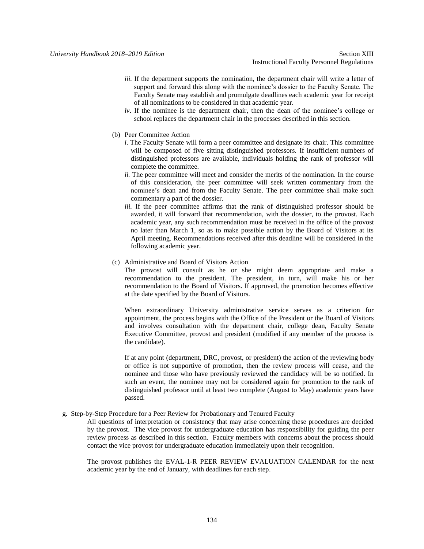- *iii.* If the department supports the nomination, the department chair will write a letter of support and forward this along with the nominee's dossier to the Faculty Senate. The Faculty Senate may establish and promulgate deadlines each academic year for receipt of all nominations to be considered in that academic year.
- *iv*. If the nominee is the department chair, then the dean of the nominee's college or school replaces the department chair in the processes described in this section.
- (b) Peer Committee Action
	- *i*. The Faculty Senate will form a peer committee and designate its chair. This committee will be composed of five sitting distinguished professors. If insufficient numbers of distinguished professors are available, individuals holding the rank of professor will complete the committee.
	- *ii.* The peer committee will meet and consider the merits of the nomination. In the course of this consideration, the peer committee will seek written commentary from the nominee's dean and from the Faculty Senate. The peer committee shall make such commentary a part of the dossier.
	- *iii.* If the peer committee affirms that the rank of distinguished professor should be awarded, it will forward that recommendation, with the dossier, to the provost. Each academic year, any such recommendation must be received in the office of the provost no later than March 1, so as to make possible action by the Board of Visitors at its April meeting. Recommendations received after this deadline will be considered in the following academic year.
- (c) Administrative and Board of Visitors Action

The provost will consult as he or she might deem appropriate and make a recommendation to the president. The president, in turn, will make his or her recommendation to the Board of Visitors. If approved, the promotion becomes effective at the date specified by the Board of Visitors.

When extraordinary University administrative service serves as a criterion for appointment, the process begins with the Office of the President or the Board of Visitors and involves consultation with the department chair, college dean, Faculty Senate Executive Committee, provost and president (modified if any member of the process is the candidate).

If at any point (department, DRC, provost, or president) the action of the reviewing body or office is not supportive of promotion, then the review process will cease, and the nominee and those who have previously reviewed the candidacy will be so notified. In such an event, the nominee may not be considered again for promotion to the rank of distinguished professor until at least two complete (August to May) academic years have passed.

# g. Step-by-Step Procedure for a Peer Review for Probationary and Tenured Faculty

All questions of interpretation or consistency that may arise concerning these procedures are decided by the provost. The vice provost for undergraduate education has responsibility for guiding the peer review process as described in this section. Faculty members with concerns about the process should contact the vice provost for undergraduate education immediately upon their recognition.

The provost publishes the EVAL-1-R PEER REVIEW EVALUATION CALENDAR for the next academic year by the end of January, with deadlines for each step.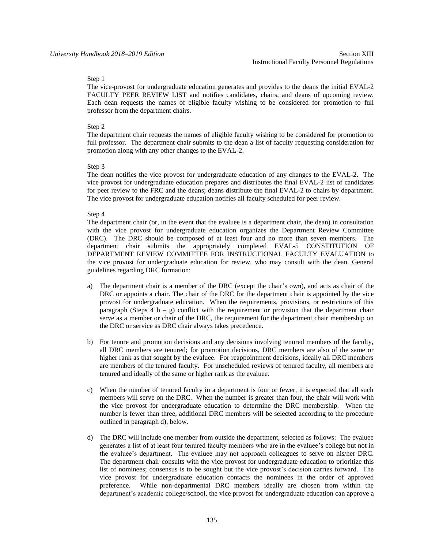## Step 1

The vice-provost for undergraduate education generates and provides to the deans the initial EVAL-2 FACULTY PEER REVIEW LIST and notifies candidates, chairs, and deans of upcoming review. Each dean requests the names of eligible faculty wishing to be considered for promotion to full professor from the department chairs.

#### Step 2

The department chair requests the names of eligible faculty wishing to be considered for promotion to full professor. The department chair submits to the dean a list of faculty requesting consideration for promotion along with any other changes to the EVAL-2.

## Step 3

The dean notifies the vice provost for undergraduate education of any changes to the EVAL-2. The vice provost for undergraduate education prepares and distributes the final EVAL-2 list of candidates for peer review to the FRC and the deans; deans distribute the final EVAL-2 to chairs by department. The vice provost for undergraduate education notifies all faculty scheduled for peer review.

## Step 4

The department chair (or, in the event that the evaluee is a department chair, the dean) in consultation with the vice provost for undergraduate education organizes the Department Review Committee (DRC). The DRC should be composed of at least four and no more than seven members. The department chair submits the appropriately completed EVAL-5 CONSTITUTION OF DEPARTMENT REVIEW COMMITTEE FOR INSTRUCTIONAL FACULTY EVALUATION to the vice provost for undergraduate education for review, who may consult with the dean. General guidelines regarding DRC formation:

- a) The department chair is a member of the DRC (except the chair's own), and acts as chair of the DRC or appoints a chair. The chair of the DRC for the department chair is appointed by the vice provost for undergraduate education. When the requirements, provisions, or restrictions of this paragraph (Steps  $4 b - g$ ) conflict with the requirement or provision that the department chair serve as a member or chair of the DRC, the requirement for the department chair membership on the DRC or service as DRC chair always takes precedence.
- b) For tenure and promotion decisions and any decisions involving tenured members of the faculty, all DRC members are tenured; for promotion decisions, DRC members are also of the same or higher rank as that sought by the evaluee. For reappointment decisions, ideally all DRC members are members of the tenured faculty. For unscheduled reviews of tenured faculty, all members are tenured and ideally of the same or higher rank as the evaluee.
- c) When the number of tenured faculty in a department is four or fewer, it is expected that all such members will serve on the DRC. When the number is greater than four, the chair will work with the vice provost for undergraduate education to determine the DRC membership. When the number is fewer than three, additional DRC members will be selected according to the procedure outlined in paragraph d), below.
- d) The DRC will include one member from outside the department, selected as follows: The evaluee generates a list of at least four tenured faculty members who are in the evaluee's college but not in the evaluee's department. The evaluee may not approach colleagues to serve on his/her DRC. The department chair consults with the vice provost for undergraduate education to prioritize this list of nominees; consensus is to be sought but the vice provost's decision carries forward. The vice provost for undergraduate education contacts the nominees in the order of approved preference. While non-departmental DRC members ideally are chosen from within the department's academic college/school, the vice provost for undergraduate education can approve a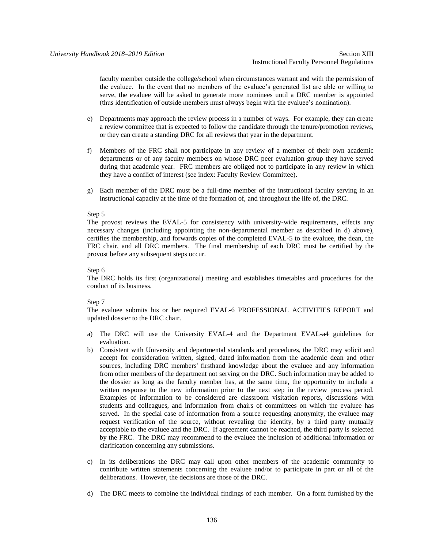faculty member outside the college/school when circumstances warrant and with the permission of the evaluee. In the event that no members of the evaluee's generated list are able or willing to serve, the evaluee will be asked to generate more nominees until a DRC member is appointed (thus identification of outside members must always begin with the evaluee's nomination).

- e) Departments may approach the review process in a number of ways. For example, they can create a review committee that is expected to follow the candidate through the tenure/promotion reviews, or they can create a standing DRC for all reviews that year in the department.
- f) Members of the FRC shall not participate in any review of a member of their own academic departments or of any faculty members on whose DRC peer evaluation group they have served during that academic year. FRC members are obliged not to participate in any review in which they have a conflict of interest (see index: Faculty Review Committee).
- g) Each member of the DRC must be a full-time member of the instructional faculty serving in an instructional capacity at the time of the formation of, and throughout the life of, the DRC.

# Step 5

The provost reviews the EVAL-5 for consistency with university-wide requirements, effects any necessary changes (including appointing the non-departmental member as described in d) above), certifies the membership, and forwards copies of the completed EVAL-5 to the evaluee, the dean, the FRC chair, and all DRC members. The final membership of each DRC must be certified by the provost before any subsequent steps occur.

# Step 6

The DRC holds its first (organizational) meeting and establishes timetables and procedures for the conduct of its business.

# Step 7

The evaluee submits his or her required EVAL-6 PROFESSIONAL ACTIVITIES REPORT and updated dossier to the DRC chair.

- a) The DRC will use the University EVAL-4 and the Department EVAL-a4 guidelines for evaluation.
- b) Consistent with University and departmental standards and procedures, the DRC may solicit and accept for consideration written, signed, dated information from the academic dean and other sources, including DRC members' firsthand knowledge about the evaluee and any information from other members of the department not serving on the DRC. Such information may be added to the dossier as long as the faculty member has, at the same time, the opportunity to include a written response to the new information prior to the next step in the review process period. Examples of information to be considered are classroom visitation reports, discussions with students and colleagues, and information from chairs of committees on which the evaluee has served. In the special case of information from a source requesting anonymity, the evaluee may request verification of the source, without revealing the identity, by a third party mutually acceptable to the evaluee and the DRC. If agreement cannot be reached, the third party is selected by the FRC. The DRC may recommend to the evaluee the inclusion of additional information or clarification concerning any submissions.
- c) In its deliberations the DRC may call upon other members of the academic community to contribute written statements concerning the evaluee and/or to participate in part or all of the deliberations. However, the decisions are those of the DRC.
- d) The DRC meets to combine the individual findings of each member. On a form furnished by the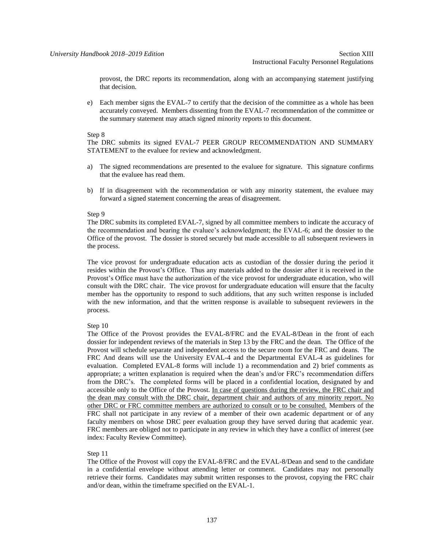provost, the DRC reports its recommendation, along with an accompanying statement justifying that decision.

e) Each member signs the EVAL-7 to certify that the decision of the committee as a whole has been accurately conveyed. Members dissenting from the EVAL-7 recommendation of the committee or the summary statement may attach signed minority reports to this document.

#### Step 8

The DRC submits its signed EVAL-7 PEER GROUP RECOMMENDATION AND SUMMARY STATEMENT to the evaluee for review and acknowledgment.

- a) The signed recommendations are presented to the evaluee for signature. This signature confirms that the evaluee has read them.
- b) If in disagreement with the recommendation or with any minority statement, the evaluee may forward a signed statement concerning the areas of disagreement.

## Step 9

The DRC submits its completed EVAL-7, signed by all committee members to indicate the accuracy of the recommendation and bearing the evaluee's acknowledgment; the EVAL-6; and the dossier to the Office of the provost. The dossier is stored securely but made accessible to all subsequent reviewers in the process.

The vice provost for undergraduate education acts as custodian of the dossier during the period it resides within the Provost's Office. Thus any materials added to the dossier after it is received in the Provost's Office must have the authorization of the vice provost for undergraduate education, who will consult with the DRC chair. The vice provost for undergraduate education will ensure that the faculty member has the opportunity to respond to such additions, that any such written response is included with the new information, and that the written response is available to subsequent reviewers in the process.

# Step 10

The Office of the Provost provides the EVAL-8/FRC and the EVAL-8/Dean in the front of each dossier for independent reviews of the materials in Step 13 by the FRC and the dean. The Office of the Provost will schedule separate and independent access to the secure room for the FRC and deans. The FRC And deans will use the University EVAL-4 and the Departmental EVAL-4 as guidelines for evaluation. Completed EVAL-8 forms will include 1) a recommendation and 2) brief comments as appropriate; a written explanation is required when the dean's and/or FRC's recommendation differs from the DRC's. The completed forms will be placed in a confidential location, designated by and accessible only to the Office of the Provost. In case of questions during the review, the FRC chair and the dean may consult with the DRC chair, department chair and authors of any minority report. No other DRC or FRC committee members are authorized to consult or to be consulted. Members of the FRC shall not participate in any review of a member of their own academic department or of any faculty members on whose DRC peer evaluation group they have served during that academic year. FRC members are obliged not to participate in any review in which they have a conflict of interest (see index: Faculty Review Committee).

# Step 11

The Office of the Provost will copy the EVAL-8/FRC and the EVAL-8/Dean and send to the candidate in a confidential envelope without attending letter or comment. Candidates may not personally retrieve their forms. Candidates may submit written responses to the provost, copying the FRC chair and/or dean, within the timeframe specified on the EVAL-1.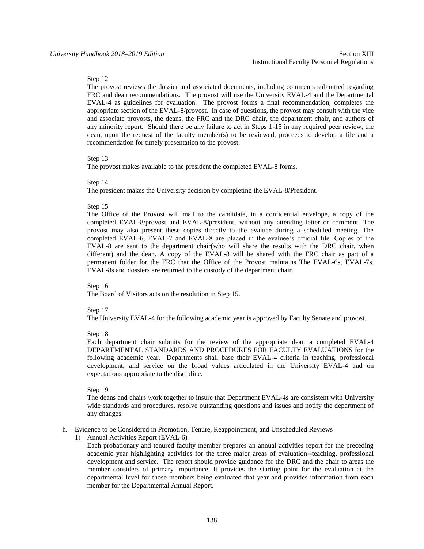#### Step 12

The provost reviews the dossier and associated documents, including comments submitted regarding FRC and dean recommendations. The provost will use the University EVAL-4 and the Departmental EVAL-4 as guidelines for evaluation. The provost forms a final recommendation, completes the appropriate section of the EVAL-8/provost. In case of questions, the provost may consult with the vice and associate provosts, the deans, the FRC and the DRC chair, the department chair, and authors of any minority report. Should there be any failure to act in Steps 1-15 in any required peer review, the dean, upon the request of the faculty member(s) to be reviewed, proceeds to develop a file and a recommendation for timely presentation to the provost.

#### Step 13

The provost makes available to the president the completed EVAL-8 forms.

#### Step 14

The president makes the University decision by completing the EVAL-8/President.

#### Step 15

The Office of the Provost will mail to the candidate, in a confidential envelope, a copy of the completed EVAL-8/provost and EVAL-8/president, without any attending letter or comment. The provost may also present these copies directly to the evaluee during a scheduled meeting. The completed EVAL-6, EVAL-7 and EVAL-8 are placed in the evaluee's official file. Copies of the EVAL-8 are sent to the department chair(who will share the results with the DRC chair, when different) and the dean. A copy of the EVAL-8 will be shared with the FRC chair as part of a permanent folder for the FRC that the Office of the Provost maintains The EVAL-6s, EVAL-7s, EVAL-8s and dossiers are returned to the custody of the department chair.

#### Step 16

The Board of Visitors acts on the resolution in Step 15.

#### Step 17

The University EVAL-4 for the following academic year is approved by Faculty Senate and provost.

#### Step 18

Each department chair submits for the review of the appropriate dean a completed EVAL-4 DEPARTMENTAL STANDARDS AND PROCEDURES FOR FACULTY EVALUATIONS for the following academic year. Departments shall base their EVAL-4 criteria in teaching, professional development, and service on the broad values articulated in the University EVAL-4 and on expectations appropriate to the discipline.

Step 19

The deans and chairs work together to insure that Department EVAL-4s are consistent with University wide standards and procedures, resolve outstanding questions and issues and notify the department of any changes.

#### h. Evidence to be Considered in Promotion, Tenure, Reappointment, and Unscheduled Reviews

#### 1) Annual Activities Report (EVAL-6)

Each probationary and tenured faculty member prepares an annual activities report for the preceding academic year highlighting activities for the three major areas of evaluation--teaching, professional development and service. The report should provide guidance for the DRC and the chair to areas the member considers of primary importance. It provides the starting point for the evaluation at the departmental level for those members being evaluated that year and provides information from each member for the Departmental Annual Report.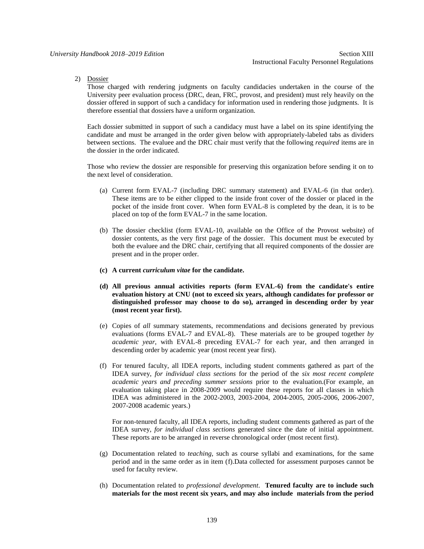2) Dossier

Those charged with rendering judgments on faculty candidacies undertaken in the course of the University peer evaluation process (DRC, dean, FRC, provost, and president) must rely heavily on the dossier offered in support of such a candidacy for information used in rendering those judgments. It is therefore essential that dossiers have a uniform organization.

Each dossier submitted in support of such a candidacy must have a label on its spine identifying the candidate and must be arranged in the order given below with appropriately-labeled tabs as dividers between sections. The evaluee and the DRC chair must verify that the following *required* items are in the dossier in the order indicated.

Those who review the dossier are responsible for preserving this organization before sending it on to the next level of consideration.

- (a) Current form EVAL-7 (including DRC summary statement) and EVAL-6 (in that order). These items are to be either clipped to the inside front cover of the dossier or placed in the pocket of the inside front cover. When form EVAL-8 is completed by the dean, it is to be placed on top of the form EVAL-7 in the same location.
- (b) The dossier checklist (form EVAL-10, available on the Office of the Provost website) of dossier contents, as the very first page of the dossier. This document must be executed by both the evaluee and the DRC chair, certifying that all required components of the dossier are present and in the proper order.
- **(c) A current** *curriculum vitae* **for the candidate.**
- **(d) All previous annual activities reports (form EVAL-6) from the candidate's entire evaluation history at CNU (not to exceed six years, although candidates for professor or distinguished professor may choose to do so), arranged in descending order by year (most recent year first).**
- (e) Copies of *all* summary statements, recommendations and decisions generated by previous evaluations (forms EVAL-7 and EVAL-8). These materials are to be grouped together *by academic year*, with EVAL-8 preceding EVAL-7 for each year, and then arranged in descending order by academic year (most recent year first).
- (f) For tenured faculty, all IDEA reports, including student comments gathered as part of the IDEA survey, *for individual class sections* for the period of the *six most recent complete academic years and preceding summer sessions* prior to the evaluation.(For example, an evaluation taking place in 2008-2009 would require these reports for all classes in which IDEA was administered in the 2002-2003, 2003-2004, 2004-2005, 2005-2006, 2006-2007, 2007-2008 academic years.)

For non-tenured faculty, all IDEA reports, including student comments gathered as part of the IDEA survey, *for individual class sections* generated since the date of initial appointment. These reports are to be arranged in reverse chronological order (most recent first).

- (g) Documentation related to *teaching*, such as course syllabi and examinations, for the same period and in the same order as in item (f).Data collected for assessment purposes cannot be used for faculty review.
- (h) Documentation related to *professional development*. **Tenured faculty are to include such materials for the most recent six years, and may also include materials from the period**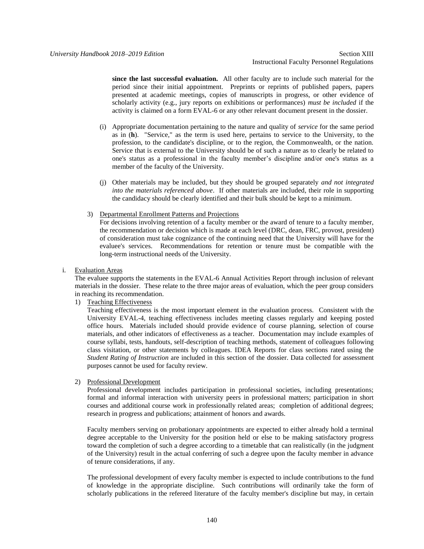**since the last successful evaluation.** All other faculty are to include such material for the period since their initial appointment. Preprints or reprints of published papers, papers presented at academic meetings, copies of manuscripts in progress, or other evidence of scholarly activity (e.g., jury reports on exhibitions or performances) *must be included* if the activity is claimed on a form EVAL-6 or any other relevant document present in the dossier.

- (i) Appropriate documentation pertaining to the nature and quality of *service* for the same period as in (**h**). "Service," as the term is used here, pertains to service to the University, to the profession, to the candidate's discipline, or to the region, the Commonwealth, or the nation. Service that is external to the University should be of such a nature as to clearly be related to one's status as a professional in the faculty member's discipline and/or one's status as a member of the faculty of the University.
- (j) Other materials may be included, but they should be grouped separately *and not integrated into the materials referenced above*. If other materials are included, their role in supporting the candidacy should be clearly identified and their bulk should be kept to a minimum.

# 3) Departmental Enrollment Patterns and Projections

For decisions involving retention of a faculty member or the award of tenure to a faculty member, the recommendation or decision which is made at each level (DRC, dean, FRC, provost, president) of consideration must take cognizance of the continuing need that the University will have for the evaluee's services. Recommendations for retention or tenure must be compatible with the long-term instructional needs of the University.

# i. Evaluation Areas

The evaluee supports the statements in the EVAL-6 Annual Activities Report through inclusion of relevant materials in the dossier. These relate to the three major areas of evaluation, which the peer group considers in reaching its recommendation.

1) Teaching Effectiveness

Teaching effectiveness is the most important element in the evaluation process. Consistent with the University EVAL-4, teaching effectiveness includes meeting classes regularly and keeping posted office hours. Materials included should provide evidence of course planning, selection of course materials, and other indicators of effectiveness as a teacher. Documentation may include examples of course syllabi, tests, handouts, self-description of teaching methods, statement of colleagues following class visitation, or other statements by colleagues. IDEA Reports for class sections rated using the *Student Rating of Instruction* are included in this section of the dossier. Data collected for assessment purposes cannot be used for faculty review.

# 2) Professional Development

Professional development includes participation in professional societies, including presentations; formal and informal interaction with university peers in professional matters; participation in short courses and additional course work in professionally related areas; completion of additional degrees; research in progress and publications; attainment of honors and awards.

Faculty members serving on probationary appointments are expected to either already hold a terminal degree acceptable to the University for the position held or else to be making satisfactory progress toward the completion of such a degree according to a timetable that can realistically (in the judgment of the University) result in the actual conferring of such a degree upon the faculty member in advance of tenure considerations, if any.

The professional development of every faculty member is expected to include contributions to the fund of knowledge in the appropriate discipline. Such contributions will ordinarily take the form of scholarly publications in the refereed literature of the faculty member's discipline but may, in certain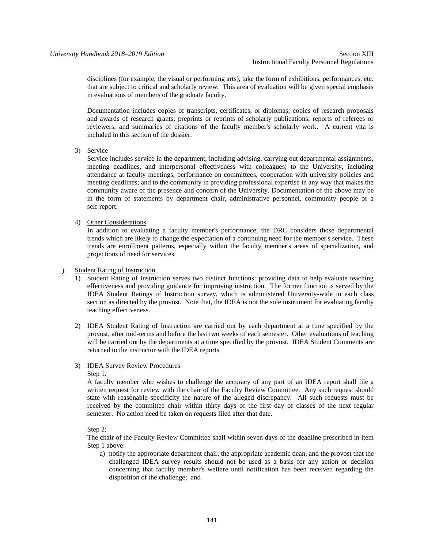disciplines (for example, the visual or performing arts), take the form of exhibitions, performances, etc. that are subject to critical and scholarly review. This area of evaluation will be given special emphasis in evaluations of members of the graduate faculty.

Documentation includes copies of transcripts, certificates, or diplomas; copies of research proposals and awards of research grants; preprints or reprints of scholarly publications; reports of referees or reviewers; and summaries of citations of the faculty member's scholarly work. A current vita is included in this section of the dossier.

# 3) Service

Service includes service in the department, including advising, carrying out departmental assignments, meeting deadlines, and interpersonal effectiveness with colleagues; to the University, including attendance at faculty meetings, performance on committees, cooperation with university policies and meeting deadlines; and to the community in providing professional expertise in any way that makes the community aware of the presence and concern of the University. Documentation of the above may be in the form of statements by department chair, administrative personnel, community people or a self-report.

4) Other Considerations

In addition to evaluating a faculty member's performance, the DRC considers those departmental trends which are likely to change the expectation of a continuing need for the member's service. These trends are enrollment patterns, especially within the faculty member's areas of specialization, and projections of need for services.

# j. Student Rating of Instruction

- 1) Student Rating of Instruction serves two distinct functions: providing data to help evaluate teaching effectiveness and providing guidance for improving instruction. The former function is served by the IDEA Student Ratings of Instruction survey, which is administered University-wide in each class section as directed by the provost. Note that, the IDEA is not the sole instrument for evaluating faculty teaching effectiveness.
- 2) IDEA Student Rating of Instruction are carried out by each department at a time specified by the provost, after mid-terms and before the last two weeks of each semester. Other evaluations of teaching will be carried out by the departments at a time specified by the provost. IDEA Student Comments are returned to the instructor with the IDEA reports.
- 3) IDEA Survey Review Procedures

Step 1:

A faculty member who wishes to challenge the accuracy of any part of an IDEA report shall file a written request for review with the chair of the Faculty Review Committee. Any such request should state with reasonable specificity the nature of the alleged discrepancy. All such requests must be received by the committee chair within thirty days of the first day of classes of the next regular semester. No action need be taken on requests filed after that date.

Step 2:

The chair of the Faculty Review Committee shall within seven days of the deadline prescribed in item Step 1 above:

a) notify the appropriate department chair, the appropriate academic dean, and the provost that the challenged IDEA survey results should not be used as a basis for any action or decision concerning that faculty member's welfare until notification has been received regarding the disposition of the challenge; and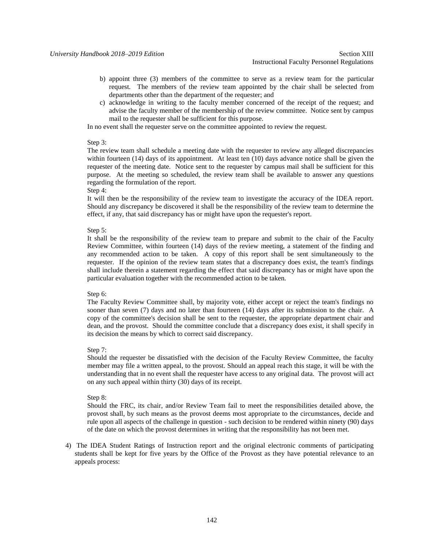- b) appoint three (3) members of the committee to serve as a review team for the particular request. The members of the review team appointed by the chair shall be selected from departments other than the department of the requester; and
- c) acknowledge in writing to the faculty member concerned of the receipt of the request; and advise the faculty member of the membership of the review committee. Notice sent by campus mail to the requester shall be sufficient for this purpose.

In no event shall the requester serve on the committee appointed to review the request.

# Step 3:

The review team shall schedule a meeting date with the requester to review any alleged discrepancies within fourteen (14) days of its appointment. At least ten (10) days advance notice shall be given the requester of the meeting date. Notice sent to the requester by campus mail shall be sufficient for this purpose. At the meeting so scheduled, the review team shall be available to answer any questions regarding the formulation of the report.

# Step 4:

It will then be the responsibility of the review team to investigate the accuracy of the IDEA report. Should any discrepancy be discovered it shall be the responsibility of the review team to determine the effect, if any, that said discrepancy has or might have upon the requester's report.

# Step 5:

It shall be the responsibility of the review team to prepare and submit to the chair of the Faculty Review Committee, within fourteen (14) days of the review meeting, a statement of the finding and any recommended action to be taken. A copy of this report shall be sent simultaneously to the requester. If the opinion of the review team states that a discrepancy does exist, the team's findings shall include therein a statement regarding the effect that said discrepancy has or might have upon the particular evaluation together with the recommended action to be taken.

# Step 6:

The Faculty Review Committee shall, by majority vote, either accept or reject the team's findings no sooner than seven (7) days and no later than fourteen (14) days after its submission to the chair. A copy of the committee's decision shall be sent to the requester, the appropriate department chair and dean, and the provost. Should the committee conclude that a discrepancy does exist, it shall specify in its decision the means by which to correct said discrepancy.

# Step 7:

Should the requester be dissatisfied with the decision of the Faculty Review Committee, the faculty member may file a written appeal, to the provost. Should an appeal reach this stage, it will be with the understanding that in no event shall the requester have access to any original data. The provost will act on any such appeal within thirty (30) days of its receipt.

# Step 8:

Should the FRC, its chair, and/or Review Team fail to meet the responsibilities detailed above, the provost shall, by such means as the provost deems most appropriate to the circumstances, decide and rule upon all aspects of the challenge in question - such decision to be rendered within ninety (90) days of the date on which the provost determines in writing that the responsibility has not been met.

4) The IDEA Student Ratings of Instruction report and the original electronic comments of participating students shall be kept for five years by the Office of the Provost as they have potential relevance to an appeals process: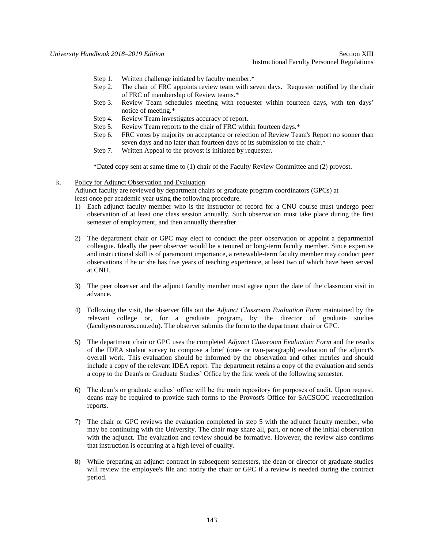# Instructional Faculty Personnel Regulations

- Step 1. Written challenge initiated by faculty member.\*
- Step 2. The chair of FRC appoints review team with seven days. Requester notified by the chair of FRC of membership of Review teams.\*
- Step 3. Review Team schedules meeting with requester within fourteen days, with ten days' notice of meeting.\*
- Step 4. Review Team investigates accuracy of report.
- Step 5. Review Team reports to the chair of FRC within fourteen days.\*
- Step 6. FRC votes by majority on acceptance or rejection of Review Team's Report no sooner than seven days and no later than fourteen days of its submission to the chair.\*
- Step 7. Written Appeal to the provost is initiated by requester.

\*Dated copy sent at same time to (1) chair of the Faculty Review Committee and (2) provost.

k. Policy for Adjunct Observation and Evaluation

Adjunct faculty are reviewed by department chairs or graduate program coordinators (GPCs) at least once per academic year using the following procedure.

- 1) Each adjunct faculty member who is the instructor of record for a CNU course must undergo peer observation of at least one class session annually. Such observation must take place during the first semester of employment, and then annually thereafter.
- 2) The department chair or GPC may elect to conduct the peer observation or appoint a departmental colleague. Ideally the peer observer would be a tenured or long-term faculty member. Since expertise and instructional skill is of paramount importance, a renewable-term faculty member may conduct peer observations if he or she has five years of teaching experience, at least two of which have been served at CNU.
- 3) The peer observer and the adjunct faculty member must agree upon the date of the classroom visit in advance.
- 4) Following the visit, the observer fills out the *Adjunct Classroom Evaluation Form* maintained by the relevant college or, for a graduate program, by the director of graduate studies (facultyresources.cnu.edu). The observer submits the form to the department chair or GPC.
- 5) The department chair or GPC uses the completed *Adjunct Classroom Evaluation Form* and the results of the IDEA student survey to compose a brief (one- or two-paragraph) evaluation of the adjunct's overall work. This evaluation should be informed by the observation and other metrics and should include a copy of the relevant IDEA report. The department retains a copy of the evaluation and sends a copy to the Dean's or Graduate Studies' Office by the first week of the following semester.
- 6) The dean's or graduate studies' office will be the main repository for purposes of audit. Upon request, deans may be required to provide such forms to the Provost's Office for SACSCOC reaccreditation reports.
- 7) The chair or GPC reviews the evaluation completed in step 5 with the adjunct faculty member, who may be continuing with the University. The chair may share all, part, or none of the initial observation with the adjunct. The evaluation and review should be formative. However, the review also confirms that instruction is occurring at a high level of quality.
- 8) While preparing an adjunct contract in subsequent semesters, the dean or director of graduate studies will review the employee's file and notify the chair or GPC if a review is needed during the contract period.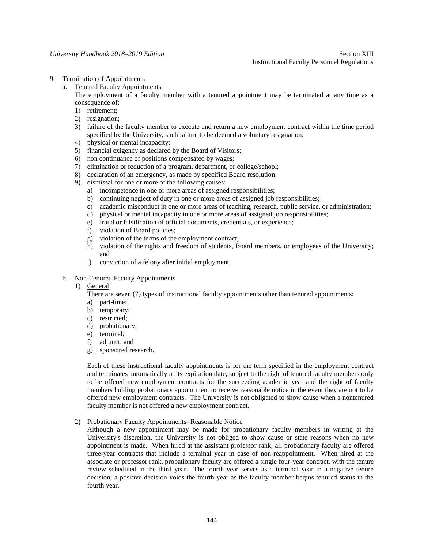- 9. Termination of Appointments
	- a. Tenured Faculty Appointments
		- The employment of a faculty member with a tenured appointment may be terminated at any time as a consequence of:
		- 1) retirement;
		- 2) resignation;
		- 3) failure of the faculty member to execute and return a new employment contract within the time period specified by the University, such failure to be deemed a voluntary resignation;
		- 4) physical or mental incapacity;
		- 5) financial exigency as declared by the Board of Visitors;
		- 6) non continuance of positions compensated by wages;
		- 7) elimination or reduction of a program, department, or college/school;
		- 8) declaration of an emergency, as made by specified Board resolution;
		- 9) dismissal for one or more of the following causes:
			- a) incompetence in one or more areas of assigned responsibilities;
			- b) continuing neglect of duty in one or more areas of assigned job responsibilities;
			- c) academic misconduct in one or more areas of teaching, research, public service, or administration;
			- d) physical or mental incapacity in one or more areas of assigned job responsibilities;
			- e) fraud or falsification of official documents, credentials, or experience;
			- f) violation of Board policies;
			- g) violation of the terms of the employment contract;
			- h) violation of the rights and freedom of students, Board members, or employees of the University; and
			- i) conviction of a felony after initial employment.

# b. Non-Tenured Faculty Appointments

1) General

There are seven (7) types of instructional faculty appointments other than tenured appointments:

- a) part-time;
- b) temporary;
- c) restricted;
- d) probationary;
- e) terminal;
- f) adjunct; and
- g) sponsored research.

Each of these instructional faculty appointments is for the term specified in the employment contract and terminates automatically at its expiration date, subject to the right of tenured faculty members only to be offered new employment contracts for the succeeding academic year and the right of faculty members holding probationary appointment to receive reasonable notice in the event they are not to be offered new employment contracts. The University is not obligated to show cause when a nontenured faculty member is not offered a new employment contract.

2) Probationary Faculty Appointments- Reasonable Notice

Although a new appointment may be made for probationary faculty members in writing at the University's discretion, the University is not obliged to show cause or state reasons when no new appointment is made. When hired at the assistant professor rank, all probationary faculty are offered three-year contracts that include a terminal year in case of non-reappointment. When hired at the associate or professor rank, probationary faculty are offered a single four-year contract, with the tenure review scheduled in the third year. The fourth year serves as a terminal year in a negative tenure decision; a positive decision voids the fourth year as the faculty member begins tenured status in the fourth year.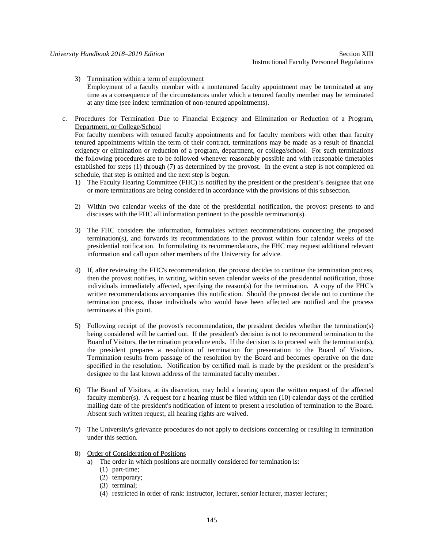## 3) Termination within a term of employment

- Employment of a faculty member with a nontenured faculty appointment may be terminated at any time as a consequence of the circumstances under which a tenured faculty member may be terminated at any time (see index: termination of non-tenured appointments).
- c. Procedures for Termination Due to Financial Exigency and Elimination or Reduction of a Program, Department, or College/School

For faculty members with tenured faculty appointments and for faculty members with other than faculty tenured appointments within the term of their contract, terminations may be made as a result of financial exigency or elimination or reduction of a program, department, or college/school. For such terminations the following procedures are to be followed whenever reasonably possible and with reasonable timetables established for steps (1) through (7) as determined by the provost. In the event a step is not completed on schedule, that step is omitted and the next step is begun.

- 1) The Faculty Hearing Committee (FHC) is notified by the president or the president's designee that one or more terminations are being considered in accordance with the provisions of this subsection.
- 2) Within two calendar weeks of the date of the presidential notification, the provost presents to and discusses with the FHC all information pertinent to the possible termination(s).
- 3) The FHC considers the information, formulates written recommendations concerning the proposed termination(s), and forwards its recommendations to the provost within four calendar weeks of the presidential notification. In formulating its recommendations, the FHC may request additional relevant information and call upon other members of the University for advice.
- 4) If, after reviewing the FHC's recommendation, the provost decides to continue the termination process, then the provost notifies, in writing, within seven calendar weeks of the presidential notification, those individuals immediately affected, specifying the reason(s) for the termination. A copy of the FHC's written recommendations accompanies this notification. Should the provost decide not to continue the termination process, those individuals who would have been affected are notified and the process terminates at this point.
- 5) Following receipt of the provost's recommendation, the president decides whether the termination(s) being considered will be carried out. If the president's decision is not to recommend termination to the Board of Visitors, the termination procedure ends. If the decision is to proceed with the termination(s), the president prepares a resolution of termination for presentation to the Board of Visitors. Termination results from passage of the resolution by the Board and becomes operative on the date specified in the resolution. Notification by certified mail is made by the president or the president's designee to the last known address of the terminated faculty member.
- 6) The Board of Visitors, at its discretion, may hold a hearing upon the written request of the affected faculty member(s). A request for a hearing must be filed within ten (10) calendar days of the certified mailing date of the president's notification of intent to present a resolution of termination to the Board. Absent such written request, all hearing rights are waived.
- 7) The University's grievance procedures do not apply to decisions concerning or resulting in termination under this section.
- 8) Order of Consideration of Positions
	- a) The order in which positions are normally considered for termination is:
		- (1) part-time;
		- (2) temporary;
		- (3) terminal;
		- (4) restricted in order of rank: instructor, lecturer, senior lecturer, master lecturer;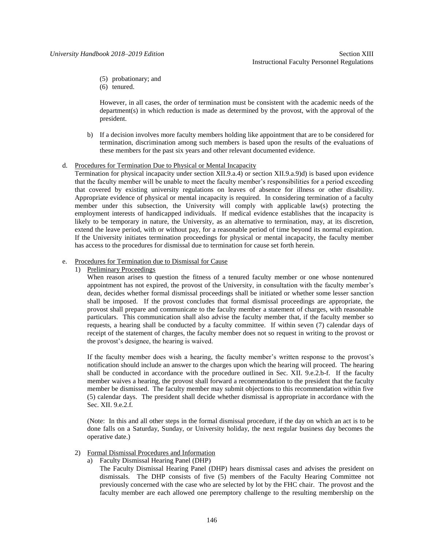- (5) probationary; and
- (6) tenured.

However, in all cases, the order of termination must be consistent with the academic needs of the department(s) in which reduction is made as determined by the provost, with the approval of the president.

- b) If a decision involves more faculty members holding like appointment that are to be considered for termination, discrimination among such members is based upon the results of the evaluations of these members for the past six years and other relevant documented evidence.
- d. Procedures for Termination Due to Physical or Mental Incapacity

Termination for physical incapacity under section XII.9.a.4) or section XII.9.a.9)d) is based upon evidence that the faculty member will be unable to meet the faculty member's responsibilities for a period exceeding that covered by existing university regulations on leaves of absence for illness or other disability. Appropriate evidence of physical or mental incapacity is required. In considering termination of a faculty member under this subsection, the University will comply with applicable law(s) protecting the employment interests of handicapped individuals. If medical evidence establishes that the incapacity is likely to be temporary in nature, the University, as an alternative to termination, may, at its discretion, extend the leave period, with or without pay, for a reasonable period of time beyond its normal expiration. If the University initiates termination proceedings for physical or mental incapacity, the faculty member has access to the procedures for dismissal due to termination for cause set forth herein.

- e. Procedures for Termination due to Dismissal for Cause
	- 1) Preliminary Proceedings

When reason arises to question the fitness of a tenured faculty member or one whose nontenured appointment has not expired, the provost of the University, in consultation with the faculty member's dean, decides whether formal dismissal proceedings shall be initiated or whether some lesser sanction shall be imposed. If the provost concludes that formal dismissal proceedings are appropriate, the provost shall prepare and communicate to the faculty member a statement of charges, with reasonable particulars. This communication shall also advise the faculty member that, if the faculty member so requests, a hearing shall be conducted by a faculty committee. If within seven (7) calendar days of receipt of the statement of charges, the faculty member does not so request in writing to the provost or the provost's designee, the hearing is waived.

If the faculty member does wish a hearing, the faculty member's written response to the provost's notification should include an answer to the charges upon which the hearing will proceed. The hearing shall be conducted in accordance with the procedure outlined in Sec. XII. 9.e.2.b-f. If the faculty member waives a hearing, the provost shall forward a recommendation to the president that the faculty member be dismissed. The faculty member may submit objections to this recommendation within five (5) calendar days. The president shall decide whether dismissal is appropriate in accordance with the Sec. XII. 9.e.2.f.

(Note: In this and all other steps in the formal dismissal procedure, if the day on which an act is to be done falls on a Saturday, Sunday, or University holiday, the next regular business day becomes the operative date.)

- 2) Formal Dismissal Procedures and Information
	- a) Faculty Dismissal Hearing Panel (DHP)

The Faculty Dismissal Hearing Panel (DHP) hears dismissal cases and advises the president on dismissals. The DHP consists of five (5) members of the Faculty Hearing Committee not previously concerned with the case who are selected by lot by the FHC chair. The provost and the faculty member are each allowed one peremptory challenge to the resulting membership on the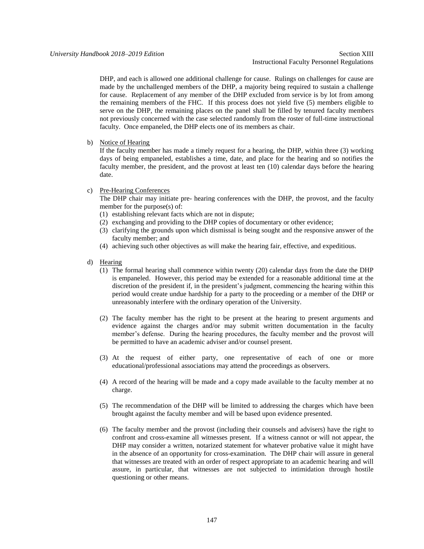DHP, and each is allowed one additional challenge for cause. Rulings on challenges for cause are made by the unchallenged members of the DHP, a majority being required to sustain a challenge for cause. Replacement of any member of the DHP excluded from service is by lot from among the remaining members of the FHC. If this process does not yield five (5) members eligible to serve on the DHP, the remaining places on the panel shall be filled by tenured faculty members not previously concerned with the case selected randomly from the roster of full-time instructional faculty. Once empaneled, the DHP elects one of its members as chair.

b) Notice of Hearing

If the faculty member has made a timely request for a hearing, the DHP, within three (3) working days of being empaneled, establishes a time, date, and place for the hearing and so notifies the faculty member, the president, and the provost at least ten (10) calendar days before the hearing date.

c) Pre-Hearing Conferences

The DHP chair may initiate pre- hearing conferences with the DHP, the provost, and the faculty member for the purpose(s) of:

- (1) establishing relevant facts which are not in dispute;
- (2) exchanging and providing to the DHP copies of documentary or other evidence;
- (3) clarifying the grounds upon which dismissal is being sought and the responsive answer of the faculty member; and
- (4) achieving such other objectives as will make the hearing fair, effective, and expeditious.
- d) Hearing
	- (1) The formal hearing shall commence within twenty (20) calendar days from the date the DHP is empaneled. However, this period may be extended for a reasonable additional time at the discretion of the president if, in the president's judgment, commencing the hearing within this period would create undue hardship for a party to the proceeding or a member of the DHP or unreasonably interfere with the ordinary operation of the University.
	- (2) The faculty member has the right to be present at the hearing to present arguments and evidence against the charges and/or may submit written documentation in the faculty member's defense. During the hearing procedures, the faculty member and the provost will be permitted to have an academic adviser and/or counsel present.
	- (3) At the request of either party, one representative of each of one or more educational/professional associations may attend the proceedings as observers.
	- (4) A record of the hearing will be made and a copy made available to the faculty member at no charge.
	- (5) The recommendation of the DHP will be limited to addressing the charges which have been brought against the faculty member and will be based upon evidence presented.
	- (6) The faculty member and the provost (including their counsels and advisers) have the right to confront and cross-examine all witnesses present. If a witness cannot or will not appear, the DHP may consider a written, notarized statement for whatever probative value it might have in the absence of an opportunity for cross-examination. The DHP chair will assure in general that witnesses are treated with an order of respect appropriate to an academic hearing and will assure, in particular, that witnesses are not subjected to intimidation through hostile questioning or other means.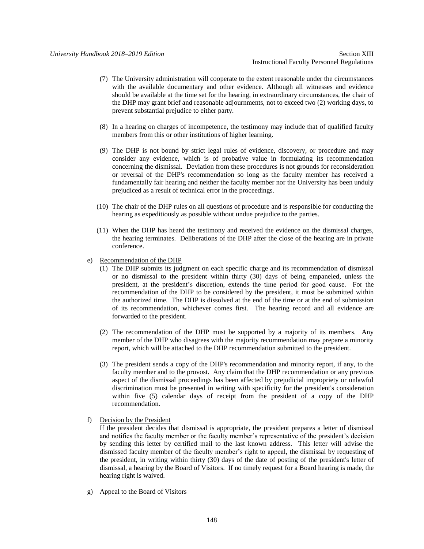- (7) The University administration will cooperate to the extent reasonable under the circumstances with the available documentary and other evidence. Although all witnesses and evidence should be available at the time set for the hearing, in extraordinary circumstances, the chair of the DHP may grant brief and reasonable adjournments, not to exceed two (2) working days, to prevent substantial prejudice to either party.
- (8) In a hearing on charges of incompetence, the testimony may include that of qualified faculty members from this or other institutions of higher learning.
- (9) The DHP is not bound by strict legal rules of evidence, discovery, or procedure and may consider any evidence, which is of probative value in formulating its recommendation concerning the dismissal. Deviation from these procedures is not grounds for reconsideration or reversal of the DHP's recommendation so long as the faculty member has received a fundamentally fair hearing and neither the faculty member nor the University has been unduly prejudiced as a result of technical error in the proceedings.
- (10) The chair of the DHP rules on all questions of procedure and is responsible for conducting the hearing as expeditiously as possible without undue prejudice to the parties.
- (11) When the DHP has heard the testimony and received the evidence on the dismissal charges, the hearing terminates. Deliberations of the DHP after the close of the hearing are in private conference.
- e) Recommendation of the DHP
	- (1) The DHP submits its judgment on each specific charge and its recommendation of dismissal or no dismissal to the president within thirty (30) days of being empaneled, unless the president, at the president's discretion, extends the time period for good cause. For the recommendation of the DHP to be considered by the president, it must be submitted within the authorized time. The DHP is dissolved at the end of the time or at the end of submission of its recommendation, whichever comes first. The hearing record and all evidence are forwarded to the president.
	- (2) The recommendation of the DHP must be supported by a majority of its members. Any member of the DHP who disagrees with the majority recommendation may prepare a minority report, which will be attached to the DHP recommendation submitted to the president.
	- (3) The president sends a copy of the DHP's recommendation and minority report, if any, to the faculty member and to the provost. Any claim that the DHP recommendation or any previous aspect of the dismissal proceedings has been affected by prejudicial impropriety or unlawful discrimination must be presented in writing with specificity for the president's consideration within five (5) calendar days of receipt from the president of a copy of the DHP recommendation.
- f) Decision by the President

If the president decides that dismissal is appropriate, the president prepares a letter of dismissal and notifies the faculty member or the faculty member's representative of the president's decision by sending this letter by certified mail to the last known address. This letter will advise the dismissed faculty member of the faculty member's right to appeal, the dismissal by requesting of the president, in writing within thirty (30) days of the date of posting of the president's letter of dismissal, a hearing by the Board of Visitors. If no timely request for a Board hearing is made, the hearing right is waived.

g) Appeal to the Board of Visitors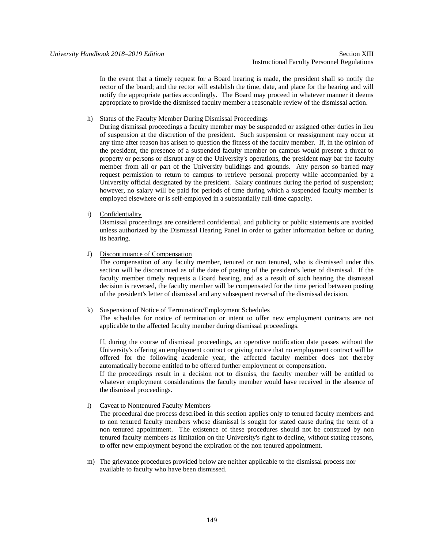In the event that a timely request for a Board hearing is made, the president shall so notify the rector of the board; and the rector will establish the time, date, and place for the hearing and will notify the appropriate parties accordingly. The Board may proceed in whatever manner it deems appropriate to provide the dismissed faculty member a reasonable review of the dismissal action.

# h) Status of the Faculty Member During Dismissal Proceedings

During dismissal proceedings a faculty member may be suspended or assigned other duties in lieu of suspension at the discretion of the president. Such suspension or reassignment may occur at any time after reason has arisen to question the fitness of the faculty member. If, in the opinion of the president, the presence of a suspended faculty member on campus would present a threat to property or persons or disrupt any of the University's operations, the president may bar the faculty member from all or part of the University buildings and grounds. Any person so barred may request permission to return to campus to retrieve personal property while accompanied by a University official designated by the president. Salary continues during the period of suspension; however, no salary will be paid for periods of time during which a suspended faculty member is employed elsewhere or is self-employed in a substantially full-time capacity.

# i) Confidentiality

Dismissal proceedings are considered confidential, and publicity or public statements are avoided unless authorized by the Dismissal Hearing Panel in order to gather information before or during its hearing.

# J) Discontinuance of Compensation

The compensation of any faculty member, tenured or non tenured, who is dismissed under this section will be discontinued as of the date of posting of the president's letter of dismissal. If the faculty member timely requests a Board hearing, and as a result of such hearing the dismissal decision is reversed, the faculty member will be compensated for the time period between posting of the president's letter of dismissal and any subsequent reversal of the dismissal decision.

# k) Suspension of Notice of Termination/Employment Schedules

The schedules for notice of termination or intent to offer new employment contracts are not applicable to the affected faculty member during dismissal proceedings.

If, during the course of dismissal proceedings, an operative notification date passes without the University's offering an employment contract or giving notice that no employment contract will be offered for the following academic year, the affected faculty member does not thereby automatically become entitled to be offered further employment or compensation.

If the proceedings result in a decision not to dismiss, the faculty member will be entitled to whatever employment considerations the faculty member would have received in the absence of the dismissal proceedings.

# l) Caveat to Nontenured Faculty Members

The procedural due process described in this section applies only to tenured faculty members and to non tenured faculty members whose dismissal is sought for stated cause during the term of a non tenured appointment. The existence of these procedures should not be construed by non tenured faculty members as limitation on the University's right to decline, without stating reasons, to offer new employment beyond the expiration of the non tenured appointment.

m) The grievance procedures provided below are neither applicable to the dismissal process nor available to faculty who have been dismissed.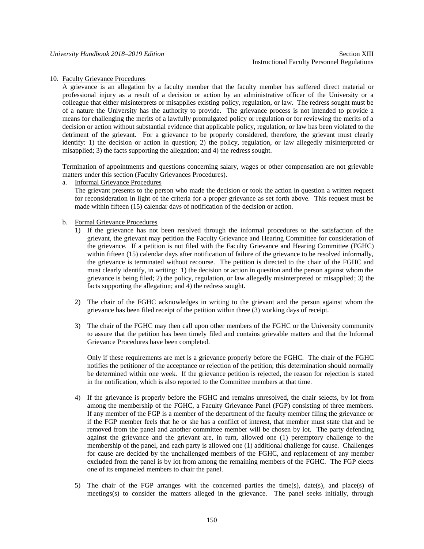# 10. Faculty Grievance Procedures

A grievance is an allegation by a faculty member that the faculty member has suffered direct material or professional injury as a result of a decision or action by an administrative officer of the University or a colleague that either misinterprets or misapplies existing policy, regulation, or law. The redress sought must be of a nature the University has the authority to provide. The grievance process is not intended to provide a means for challenging the merits of a lawfully promulgated policy or regulation or for reviewing the merits of a decision or action without substantial evidence that applicable policy, regulation, or law has been violated to the detriment of the grievant. For a grievance to be properly considered, therefore, the grievant must clearly identify: 1) the decision or action in question; 2) the policy, regulation, or law allegedly misinterpreted or misapplied; 3) the facts supporting the allegation; and 4) the redress sought.

Termination of appointments and questions concerning salary, wages or other compensation are not grievable matters under this section (Faculty Grievances Procedures).

a. Informal Grievance Procedures

The grievant presents to the person who made the decision or took the action in question a written request for reconsideration in light of the criteria for a proper grievance as set forth above. This request must be made within fifteen (15) calendar days of notification of the decision or action.

- b. Formal Grievance Procedures
	- 1) If the grievance has not been resolved through the informal procedures to the satisfaction of the grievant, the grievant may petition the Faculty Grievance and Hearing Committee for consideration of the grievance. If a petition is not filed with the Faculty Grievance and Hearing Committee (FGHC) within fifteen (15) calendar days after notification of failure of the grievance to be resolved informally, the grievance is terminated without recourse. The petition is directed to the chair of the FGHC and must clearly identify, in writing: 1) the decision or action in question and the person against whom the grievance is being filed; 2) the policy, regulation, or law allegedly misinterpreted or misapplied; 3) the facts supporting the allegation; and 4) the redress sought.
	- 2) The chair of the FGHC acknowledges in writing to the grievant and the person against whom the grievance has been filed receipt of the petition within three (3) working days of receipt.
	- 3) The chair of the FGHC may then call upon other members of the FGHC or the University community to assure that the petition has been timely filed and contains grievable matters and that the Informal Grievance Procedures have been completed.

Only if these requirements are met is a grievance properly before the FGHC. The chair of the FGHC notifies the petitioner of the acceptance or rejection of the petition; this determination should normally be determined within one week. If the grievance petition is rejected, the reason for rejection is stated in the notification, which is also reported to the Committee members at that time.

- 4) If the grievance is properly before the FGHC and remains unresolved, the chair selects, by lot from among the membership of the FGHC, a Faculty Grievance Panel (FGP) consisting of three members. If any member of the FGP is a member of the department of the faculty member filing the grievance or if the FGP member feels that he or she has a conflict of interest, that member must state that and be removed from the panel and another committee member will be chosen by lot. The party defending against the grievance and the grievant are, in turn, allowed one (1) peremptory challenge to the membership of the panel, and each party is allowed one (1) additional challenge for cause. Challenges for cause are decided by the unchallenged members of the FGHC, and replacement of any member excluded from the panel is by lot from among the remaining members of the FGHC. The FGP elects one of its empaneled members to chair the panel.
- 5) The chair of the FGP arranges with the concerned parties the time(s), date(s), and place(s) of meetings(s) to consider the matters alleged in the grievance. The panel seeks initially, through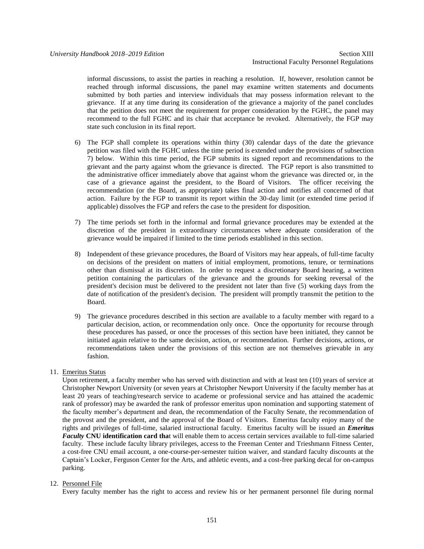informal discussions, to assist the parties in reaching a resolution. If, however, resolution cannot be reached through informal discussions, the panel may examine written statements and documents submitted by both parties and interview individuals that may possess information relevant to the grievance. If at any time during its consideration of the grievance a majority of the panel concludes that the petition does not meet the requirement for proper consideration by the FGHC, the panel may recommend to the full FGHC and its chair that acceptance be revoked. Alternatively, the FGP may state such conclusion in its final report.

- 6) The FGP shall complete its operations within thirty (30) calendar days of the date the grievance petition was filed with the FGHC unless the time period is extended under the provisions of subsection 7) below. Within this time period, the FGP submits its signed report and recommendations to the grievant and the party against whom the grievance is directed. The FGP report is also transmitted to the administrative officer immediately above that against whom the grievance was directed or, in the case of a grievance against the president, to the Board of Visitors. The officer receiving the recommendation (or the Board, as appropriate) takes final action and notifies all concerned of that action. Failure by the FGP to transmit its report within the 30-day limit (or extended time period if applicable) dissolves the FGP and refers the case to the president for disposition.
- 7) The time periods set forth in the informal and formal grievance procedures may be extended at the discretion of the president in extraordinary circumstances where adequate consideration of the grievance would be impaired if limited to the time periods established in this section.
- 8) Independent of these grievance procedures, the Board of Visitors may hear appeals, of full-time faculty on decisions of the president on matters of initial employment, promotions, tenure, or terminations other than dismissal at its discretion. In order to request a discretionary Board hearing, a written petition containing the particulars of the grievance and the grounds for seeking reversal of the president's decision must be delivered to the president not later than five (5) working days from the date of notification of the president's decision. The president will promptly transmit the petition to the Board.
- 9) The grievance procedures described in this section are available to a faculty member with regard to a particular decision, action, or recommendation only once. Once the opportunity for recourse through these procedures has passed, or once the processes of this section have been initiated, they cannot be initiated again relative to the same decision, action, or recommendation. Further decisions, actions, or recommendations taken under the provisions of this section are not themselves grievable in any fashion.
- 11. Emeritus Status

Upon retirement, a faculty member who has served with distinction and with at least ten (10) years of service at Christopher Newport University (or seven years at Christopher Newport University if the faculty member has at least 20 years of teaching/research service to academe or professional service and has attained the academic rank of professor) may be awarded the rank of professor emeritus upon nomination and supporting statement of the faculty member's department and dean, the recommendation of the Faculty Senate, the recommendation of the provost and the president, and the approval of the Board of Visitors. Emeritus faculty enjoy many of the rights and privileges of full-time, salaried instructional faculty. Emeritus faculty will be issued an *Emeritus Faculty* **CNU identification card tha**t will enable them to access certain services available to full-time salaried faculty. These include faculty library privileges, access to the Freeman Center and Trieshmann Fitness Center, a cost-free CNU email account, a one-course-per-semester tuition waiver, and standard faculty discounts at the Captain's Locker, Ferguson Center for the Arts, and athletic events, and a cost-free parking decal for on-campus parking.

# 12. Personnel File

Every faculty member has the right to access and review his or her permanent personnel file during normal